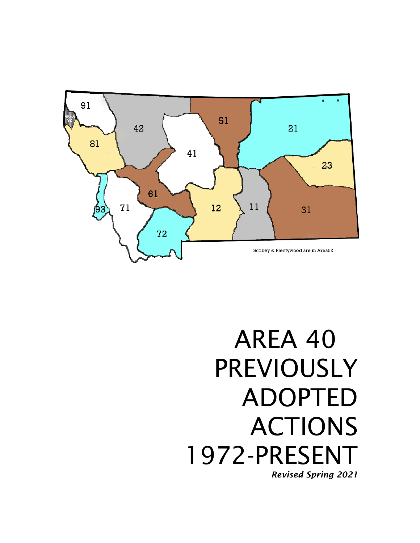

# AREA 40 PREVIOUSLY ADOPTED ACTIONS 1972-PRESENT *Revised Spring 2021*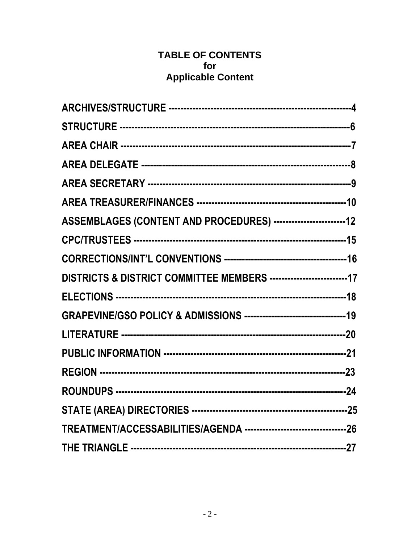## **TABLE OF CONTENTS** for **Applicable Content**

| ASSEMBLAGES (CONTENT AND PROCEDURES) ------------------------12       |  |
|-----------------------------------------------------------------------|--|
|                                                                       |  |
|                                                                       |  |
| DISTRICTS & DISTRICT COMMITTEE MEMBERS -------------------------17    |  |
|                                                                       |  |
|                                                                       |  |
|                                                                       |  |
|                                                                       |  |
|                                                                       |  |
|                                                                       |  |
|                                                                       |  |
| TREATMENT/ACCESSABILITIES/AGENDA ----------------------------------26 |  |
|                                                                       |  |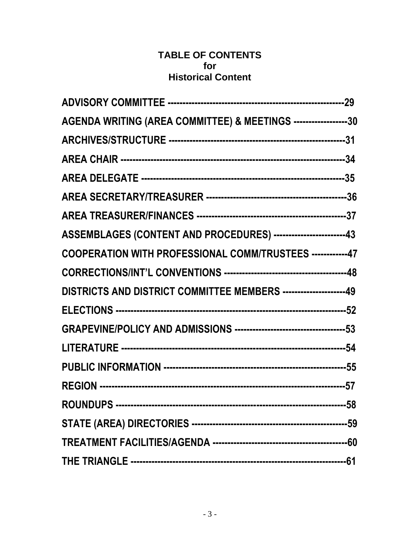## **TABLE OF CONTENTS for Historical Content**

| AGENDA WRITING (AREA COMMITTEE) & MEETINGS ------------------30  |  |
|------------------------------------------------------------------|--|
|                                                                  |  |
|                                                                  |  |
|                                                                  |  |
|                                                                  |  |
|                                                                  |  |
| ASSEMBLAGES (CONTENT AND PROCEDURES) -----------------------43   |  |
| COOPERATION WITH PROFESSIONAL COMM/TRUSTEES ------------47       |  |
|                                                                  |  |
| DISTRICTS AND DISTRICT COMMITTEE MEMBERS ---------------------49 |  |
|                                                                  |  |
|                                                                  |  |
|                                                                  |  |
|                                                                  |  |
|                                                                  |  |
|                                                                  |  |
|                                                                  |  |
|                                                                  |  |
|                                                                  |  |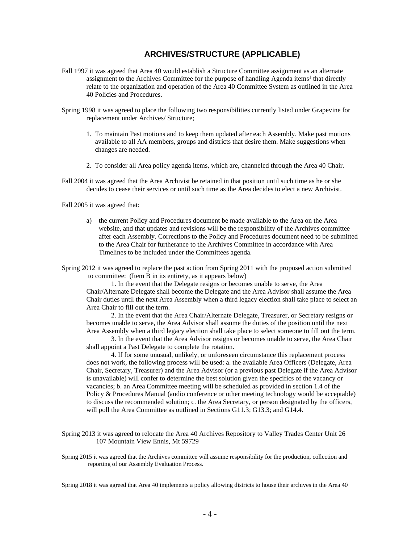## **ARCHIVES/STRUCTURE (APPLICABLE)**

- Fall 1997 it was agreed that Area 40 would establish a Structure Committee assignment as an alternate assignment to the Archives Committee for the purpose of handling Agenda items<sup>1</sup> that directly relate to the organization and operation of the Area 40 Committee System as outlined in the Area 40 Policies and Procedures.
- Spring 1998 it was agreed to place the following two responsibilities currently listed under Grapevine for replacement under Archives/ Structure;
	- 1. To maintain Past motions and to keep them updated after each Assembly. Make past motions available to all AA members, groups and districts that desire them. Make suggestions when changes are needed.
	- 2. To consider all Area policy agenda items, which are, channeled through the Area 40 Chair.
- Fall 2004 it was agreed that the Area Archivist be retained in that position until such time as he or she decides to cease their services or until such time as the Area decides to elect a new Archivist.

Fall 2005 it was agreed that:

a) the current Policy and Procedures document be made available to the Area on the Area website, and that updates and revisions will be the responsibility of the Archives committee after each Assembly. Corrections to the Policy and Procedures document need to be submitted to the Area Chair for furtherance to the Archives Committee in accordance with Area Timelines to be included under the Committees agenda.

Spring 2012 it was agreed to replace the past action from Spring 2011 with the proposed action submitted to committee: (Item B in its entirety, as it appears below)

1. In the event that the Delegate resigns or becomes unable to serve, the Area Chair/Alternate Delegate shall become the Delegate and the Area Advisor shall assume the Area Chair duties until the next Area Assembly when a third legacy election shall take place to select an Area Chair to fill out the term.

2. In the event that the Area Chair/Alternate Delegate, Treasurer, or Secretary resigns or becomes unable to serve, the Area Advisor shall assume the duties of the position until the next Area Assembly when a third legacy election shall take place to select someone to fill out the term.

3. In the event that the Area Advisor resigns or becomes unable to serve, the Area Chair shall appoint a Past Delegate to complete the rotation.

4. If for some unusual, unlikely, or unforeseen circumstance this replacement process does not work, the following process will be used: a. the available Area Officers (Delegate, Area Chair, Secretary, Treasurer) and the Area Advisor (or a previous past Delegate if the Area Advisor is unavailable) will confer to determine the best solution given the specifics of the vacancy or vacancies; b. an Area Committee meeting will be scheduled as provided in section 1.4 of the Policy & Procedures Manual (audio conference or other meeting technology would be acceptable) to discuss the recommended solution; c. the Area Secretary, or person designated by the officers, will poll the Area Committee as outlined in Sections G11.3; G13.3; and G14.4.

Spring 2013 it was agreed to relocate the Area 40 Archives Repository to Valley Trades Center Unit 26 107 Mountain View Ennis, Mt 59729

Spring 2015 it was agreed that the Archives committee will assume responsibility for the production, collection and reporting of our Assembly Evaluation Process.

Spring 2018 it was agreed that Area 40 implements a policy allowing districts to house their archives in the Area 40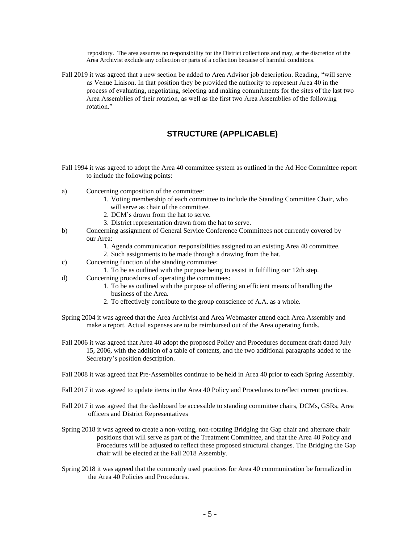repository. The area assumes no responsibility for the District collections and may, at the discretion of the Area Archivist exclude any collection or parts of a collection because of harmful conditions.

Fall 2019 it was agreed that a new section be added to Area Advisor job description. Reading, "will serve as Venue Liaison. In that position they be provided the authority to represent Area 40 in the process of evaluating, negotiating, selecting and making commitments for the sites of the last two Area Assemblies of their rotation, as well as the first two Area Assemblies of the following rotation."

## **STRUCTURE (APPLICABLE)**

- Fall 1994 it was agreed to adopt the Area 40 committee system as outlined in the Ad Hoc Committee report to include the following points:
- a) Concerning composition of the committee:
	- 1. Voting membership of each committee to include the Standing Committee Chair, who will serve as chair of the committee.
	- 2. DCM's drawn from the hat to serve.
	- 3. District representation drawn from the hat to serve.
- b) Concerning assignment of General Service Conference Committees not currently covered by our Area:
	- 1. Agenda communication responsibilities assigned to an existing Area 40 committee.
	- 2. Such assignments to be made through a drawing from the hat.
- c) Concerning function of the standing committee:
	- 1. To be as outlined with the purpose being to assist in fulfilling our 12th step.
- d) Concerning procedures of operating the committees:
	- 1. To be as outlined with the purpose of offering an efficient means of handling the business of the Area.
	- 2. To effectively contribute to the group conscience of A.A. as a whole.
- Spring 2004 it was agreed that the Area Archivist and Area Webmaster attend each Area Assembly and make a report. Actual expenses are to be reimbursed out of the Area operating funds.
- Fall 2006 it was agreed that Area 40 adopt the proposed Policy and Procedures document draft dated July 15, 2006, with the addition of a table of contents, and the two additional paragraphs added to the Secretary's position description.
- Fall 2008 it was agreed that Pre‐Assemblies continue to be held in Area 40 prior to each Spring Assembly.
- Fall 2017 it was agreed to update items in the Area 40 Policy and Procedures to reflect current practices.
- Fall 2017 it was agreed that the dashboard be accessible to standing committee chairs, DCMs, GSRs, Area officers and District Representatives
- Spring 2018 it was agreed to create a non-voting, non-rotating Bridging the Gap chair and alternate chair positions that will serve as part of the Treatment Committee, and that the Area 40 Policy and Procedures will be adjusted to reflect these proposed structural changes. The Bridging the Gap chair will be elected at the Fall 2018 Assembly.
- Spring 2018 it was agreed that the commonly used practices for Area 40 communication be formalized in the Area 40 Policies and Procedures.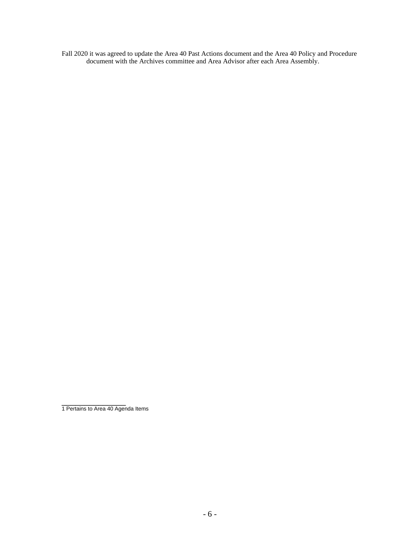Fall 2020 it was agreed to update the Area 40 Past Actions document and the Area 40 Policy and Procedure document with the Archives committee and Area Advisor after each Area Assembly.

1 Pertains to Area 40 Agenda Items

\_\_\_\_\_\_\_\_\_\_\_\_\_\_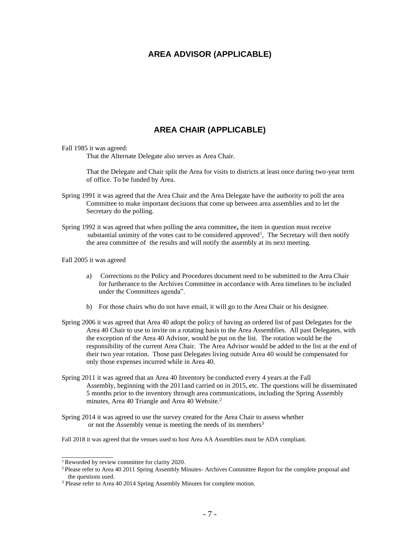## **AREA ADVISOR (APPLICABLE)**

## **AREA CHAIR (APPLICABLE)**

#### Fall 1985 it was agreed:

That the Alternate Delegate also serves as Area Chair.

That the Delegate and Chair split the Area for visits to districts at least once during two-year term of office. To be funded by Area.

- Spring 1991 it was agreed that the Area Chair and the Area Delegate have the authority to poll the area Committee to make important decisions that come up between area assemblies and to let the Secretary do the polling.
- Spring 1992 it was agreed that when polling the area committee**,** the item in question must receive substantial unimity of the votes cast to be considered approved<sup>1</sup>, The Secretary will then notify the area committee of the results and will notify the assembly at its next meeting.

#### Fall 2005 it was agreed

- a) Corrections to the Policy and Procedures document need to be submitted to the Area Chair for furtherance to the Archives Committee in accordance with Area timelines to be included under the Committees agenda".
- b) For those chairs who do not have email, it will go to the Area Chair or his designee.
- Spring 2006 it was agreed that Area 40 adopt the policy of having an ordered list of past Delegates for the Area 40 Chair to use to invite on a rotating basis to the Area Assemblies. All past Delegates, with the exception of the Area 40 Advisor, would be put on the list. The rotation would be the responsibility of the current Area Chair. The Area Advisor would be added to the list at the end of their two year rotation. Those past Delegates living outside Area 40 would be compensated for only those expenses incurred while in Area 40.
- Spring 2011 it was agreed that an Area 40 Inventory be conducted every 4 years at the Fall Assembly, beginning with the 2011and carried on in 2015, etc. The questions will be disseminated 5 months prior to the inventory through area communications, including the Spring Assembly minutes, Area 40 Triangle and Area 40 Website.<sup>2</sup>
- Spring 2014 it was agreed to use the survey created for the Area Chair to assess whether or not the Assembly venue is meeting the needs of its members<sup>3</sup>
- Fall 2018 it was agreed that the venues used to host Area AA Assemblies must be ADA compliant.

\_\_\_\_\_\_\_\_\_\_\_\_\_\_\_

<sup>1</sup> Reworded by review committee for clarity 2020.

<sup>&</sup>lt;sup>2</sup> Please refer to Area 40 2011 Spring Assembly Minutes-Archives Committee Report for the complete proposal and the questions used.

<sup>&</sup>lt;sup>3</sup> Please refer to Area 40 2014 Spring Assembly Minutes for complete motion.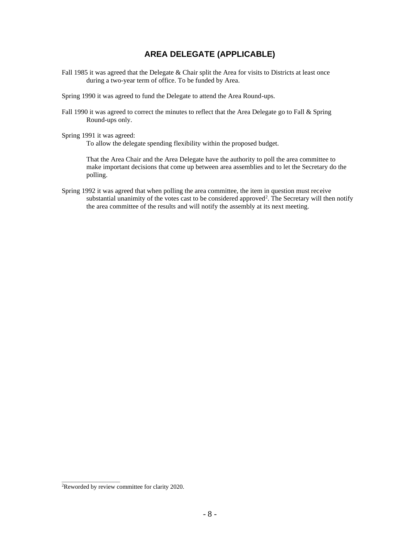## **AREA DELEGATE (APPLICABLE)**

- Fall 1985 it was agreed that the Delegate & Chair split the Area for visits to Districts at least once during a two-year term of office. To be funded by Area.
- Spring 1990 it was agreed to fund the Delegate to attend the Area Round-ups.
- Fall 1990 it was agreed to correct the minutes to reflect that the Area Delegate go to Fall & Spring Round-ups only.
- Spring 1991 it was agreed:

To allow the delegate spending flexibility within the proposed budget.

That the Area Chair and the Area Delegate have the authority to poll the area committee to make important decisions that come up between area assemblies and to let the Secretary do the polling.

Spring 1992 it was agreed that when polling the area committee, the item in question must receive substantial unanimity of the votes cast to be considered approved<sup>2</sup>. The Secretary will then notify the area committee of the results and will notify the assembly at its next meeting.

**\_\_\_\_\_\_\_\_\_\_\_\_\_\_\_\_\_**

<sup>&</sup>lt;sup>2</sup>Reworded by review committee for clarity 2020.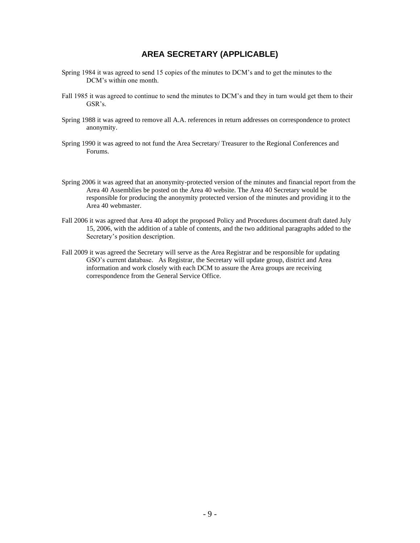## **AREA SECRETARY (APPLICABLE)**

- Spring 1984 it was agreed to send 15 copies of the minutes to DCM's and to get the minutes to the DCM's within one month.
- Fall 1985 it was agreed to continue to send the minutes to DCM's and they in turn would get them to their GSR's.
- Spring 1988 it was agreed to remove all A.A. references in return addresses on correspondence to protect anonymity.
- Spring 1990 it was agreed to not fund the Area Secretary/ Treasurer to the Regional Conferences and Forums.
- Spring 2006 it was agreed that an anonymity-protected version of the minutes and financial report from the Area 40 Assemblies be posted on the Area 40 website. The Area 40 Secretary would be responsible for producing the anonymity protected version of the minutes and providing it to the Area 40 webmaster.
- Fall 2006 it was agreed that Area 40 adopt the proposed Policy and Procedures document draft dated July 15, 2006, with the addition of a table of contents, and the two additional paragraphs added to the Secretary's position description.
- Fall 2009 it was agreed the Secretary will serve as the Area Registrar and be responsible for updating GSO's current database. As Registrar, the Secretary will update group, district and Area information and work closely with each DCM to assure the Area groups are receiving correspondence from the General Service Office.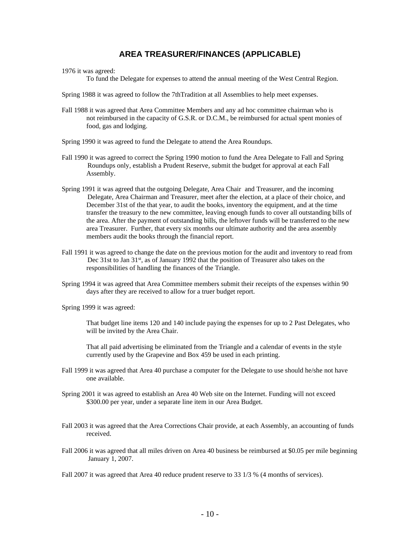## **AREA TREASURER/FINANCES (APPLICABLE)**

1976 it was agreed:

To fund the Delegate for expenses to attend the annual meeting of the West Central Region.

Spring 1988 it was agreed to follow the 7thTradition at all Assemblies to help meet expenses.

- Fall 1988 it was agreed that Area Committee Members and any ad hoc committee chairman who is not reimbursed in the capacity of G.S.R. or D.C.M., be reimbursed for actual spent monies of food, gas and lodging.
- Spring 1990 it was agreed to fund the Delegate to attend the Area Roundups.
- Fall 1990 it was agreed to correct the Spring 1990 motion to fund the Area Delegate to Fall and Spring Roundups only, establish a Prudent Reserve, submit the budget for approval at each Fall Assembly.
- Spring 1991 it was agreed that the outgoing Delegate, Area Chair and Treasurer, and the incoming Delegate, Area Chairman and Treasurer, meet after the election, at a place of their choice, and December 31st of the that year, to audit the books, inventory the equipment, and at the time transfer the treasury to the new committee, leaving enough funds to cover all outstanding bills of the area. After the payment of outstanding bills, the leftover funds will be transferred to the new area Treasurer. Further, that every six months our ultimate authority and the area assembly members audit the books through the financial report.
- Fall 1991 it was agreed to change the date on the previous motion for the audit and inventory to read from Dec 31st to Jan 31<sup>st</sup>, as of January 1992 that the position of Treasurer also takes on the responsibilities of handling the finances of the Triangle.
- Spring 1994 it was agreed that Area Committee members submit their receipts of the expenses within 90 days after they are received to allow for a truer budget report.

Spring 1999 it was agreed:

That budget line items 120 and 140 include paying the expenses for up to 2 Past Delegates, who will be invited by the Area Chair.

That all paid advertising be eliminated from the Triangle and a calendar of events in the style currently used by the Grapevine and Box 459 be used in each printing.

- Fall 1999 it was agreed that Area 40 purchase a computer for the Delegate to use should he/she not have one available.
- Spring 2001 it was agreed to establish an Area 40 Web site on the Internet. Funding will not exceed \$300.00 per year, under a separate line item in our Area Budget.
- Fall 2003 it was agreed that the Area Corrections Chair provide, at each Assembly, an accounting of funds received.
- Fall 2006 it was agreed that all miles driven on Area 40 business be reimbursed at \$0.05 per mile beginning January 1, 2007.
- Fall 2007 it was agreed that Area 40 reduce prudent reserve to 33 1/3 % (4 months of services).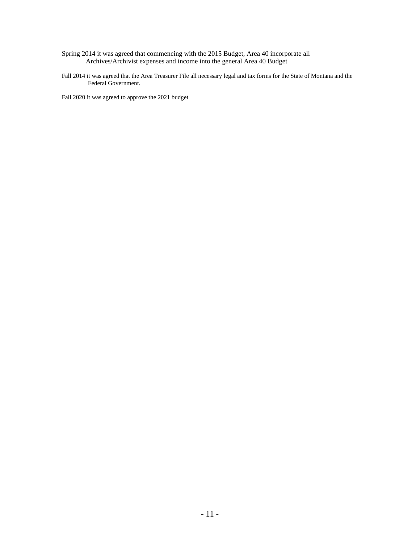- Spring 2014 it was agreed that commencing with the 2015 Budget, Area 40 incorporate all Archives/Archivist expenses and income into the general Area 40 Budget
- Fall 2014 it was agreed that the Area Treasurer File all necessary legal and tax forms for the State of Montana and the Federal Government.

Fall 2020 it was agreed to approve the 2021 budget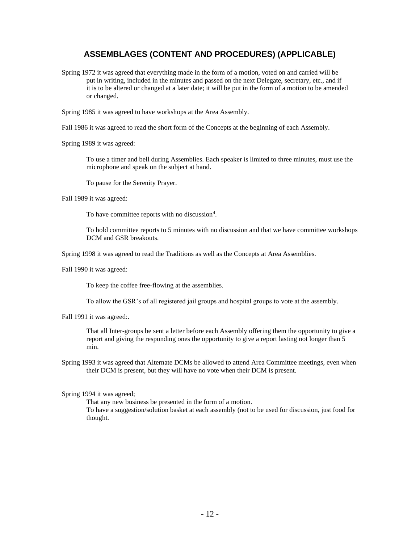## **ASSEMBLAGES (CONTENT AND PROCEDURES) (APPLICABLE)**

Spring 1972 it was agreed that everything made in the form of a motion, voted on and carried will be put in writing, included in the minutes and passed on the next Delegate, secretary, etc., and if it is to be altered or changed at a later date; it will be put in the form of a motion to be amended or changed.

Spring 1985 it was agreed to have workshops at the Area Assembly.

Fall 1986 it was agreed to read the short form of the Concepts at the beginning of each Assembly.

Spring 1989 it was agreed:

To use a timer and bell during Assemblies. Each speaker is limited to three minutes, must use the microphone and speak on the subject at hand.

To pause for the Serenity Prayer.

Fall 1989 it was agreed:

To have committee reports with no discussion<sup>4</sup>.

To hold committee reports to 5 minutes with no discussion and that we have committee workshops DCM and GSR breakouts.

Spring 1998 it was agreed to read the Traditions as well as the Concepts at Area Assemblies.

Fall 1990 it was agreed:

To keep the coffee free-flowing at the assemblies.

To allow the GSR's of all registered jail groups and hospital groups to vote at the assembly.

Fall 1991 it was agreed:.

That all Inter-groups be sent a letter before each Assembly offering them the opportunity to give a report and giving the responding ones the opportunity to give a report lasting not longer than 5 min.

Spring 1993 it was agreed that Alternate DCMs be allowed to attend Area Committee meetings, even when their DCM is present, but they will have no vote when their DCM is present.

Spring 1994 it was agreed;

That any new business be presented in the form of a motion. To have a suggestion/solution basket at each assembly (not to be used for discussion, just food for thought.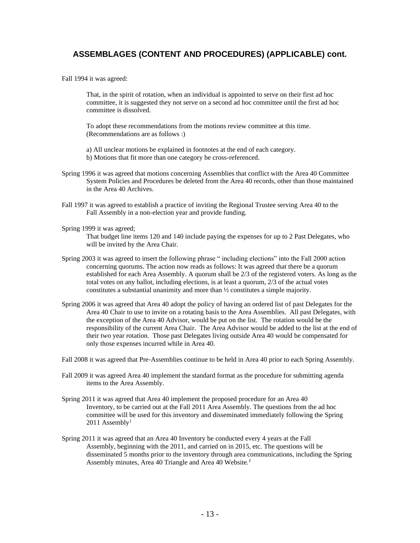## **ASSEMBLAGES (CONTENT AND PROCEDURES) (APPLICABLE) cont.**

Fall 1994 it was agreed:

That, in the spirit of rotation, when an individual is appointed to serve on their first ad hoc committee, it is suggested they not serve on a second ad hoc committee until the first ad hoc committee is dissolved.

To adopt these recommendations from the motions review committee at this time. (Recommendations are as follows :)

a) All unclear motions be explained in footnotes at the end of each category.

- b) Motions that fit more than one category be cross-referenced.
- Spring 1996 it was agreed that motions concerning Assemblies that conflict with the Area 40 Committee System Policies and Procedures be deleted from the Area 40 records, other than those maintained in the Area 40 Archives.
- Fall 1997 it was agreed to establish a practice of inviting the Regional Trustee serving Area 40 to the Fall Assembly in a non-election year and provide funding.
- Spring 1999 it was agreed;

That budget line items 120 and 140 include paying the expenses for up to 2 Past Delegates, who will be invited by the Area Chair.

- Spring 2003 it was agreed to insert the following phrase " including elections" into the Fall 2000 action concerning quorums. The action now reads as follows: It was agreed that there be a quorum established for each Area Assembly. A quorum shall be 2/3 of the registered voters. As long as the total votes on any ballot, including elections, is at least a quorum, 2/3 of the actual votes constitutes a substantial unanimity and more than ½ constitutes a simple majority.
- Spring 2006 it was agreed that Area 40 adopt the policy of having an ordered list of past Delegates for the Area 40 Chair to use to invite on a rotating basis to the Area Assemblies. All past Delegates, with the exception of the Area 40 Advisor, would be put on the list. The rotation would be the responsibility of the current Area Chair. The Area Advisor would be added to the list at the end of their two year rotation. Those past Delegates living outside Area 40 would be compensated for only those expenses incurred while in Area 40.

Fall 2008 it was agreed that Pre‐Assemblies continue to be held in Area 40 prior to each Spring Assembly.

- Fall 2009 it was agreed Area 40 implement the standard format as the procedure for submitting agenda items to the Area Assembly.
- Spring 2011 it was agreed that Area 40 implement the proposed procedure for an Area 40 Inventory, to be carried out at the Fall 2011 Area Assembly. The questions from the ad hoc committee will be used for this inventory and disseminated immediately following the Spring  $2011$  Assembly<sup>1</sup>
- Spring 2011 it was agreed that an Area 40 Inventory be conducted every 4 years at the Fall Assembly, beginning with the 2011, and carried on in 2015, etc. The questions will be disseminated 5 months prior to the inventory through area communications, including the Spring Assembly minutes, Area 40 Triangle and Area 40 Website.*1*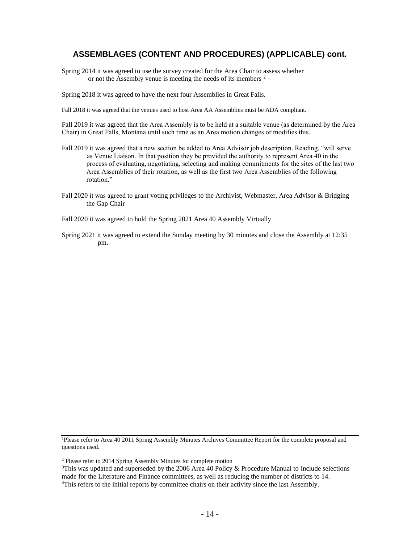## **ASSEMBLAGES (CONTENT AND PROCEDURES) (APPLICABLE) cont.**

Spring 2014 it was agreed to use the survey created for the Area Chair to assess whether or not the Assembly venue is meeting the needs of its members <sup>2</sup>

Spring 2018 it was agreed to have the next four Assemblies in Great Falls.

Fall 2018 it was agreed that the venues used to host Area AA Assemblies must be ADA compliant.

Fall 2019 it was agreed that the Area Assembly is to be held at a suitable venue (as determined by the Area Chair) in Great Falls, Montana until such time as an Area motion changes or modifies this.

- Fall 2019 it was agreed that a new section be added to Area Advisor job description. Reading, "will serve as Venue Liaison. In that position they be provided the authority to represent Area 40 in the process of evaluating, negotiating, selecting and making commitments for the sites of the last two Area Assemblies of their rotation, as well as the first two Area Assemblies of the following rotation."
- Fall 2020 it was agreed to grant voting privileges to the Archivist, Webmaster, Area Advisor & Bridging the Gap Chair
- Fall 2020 it was agreed to hold the Spring 2021 Area 40 Assembly Virtually
- Spring 2021 it was agreed to extend the Sunday meeting by 30 minutes and close the Assembly at 12:35 pm.

<sup>1</sup>Please refer to Area 40 2011 Spring Assembly Minutes Archives Committee Report for the complete proposal and questions used.

<sup>2</sup> Please refer to 2014 Spring Assembly Minutes for complete motion

<sup>&</sup>lt;sup>3</sup>This was updated and superseded by the 2006 Area 40 Policy & Procedure Manual to include selections made for the Literature and Finance committees, as well as reducing the number of districts to 14.

<sup>4</sup>This refers to the initial reports by committee chairs on their activity since the last Assembly.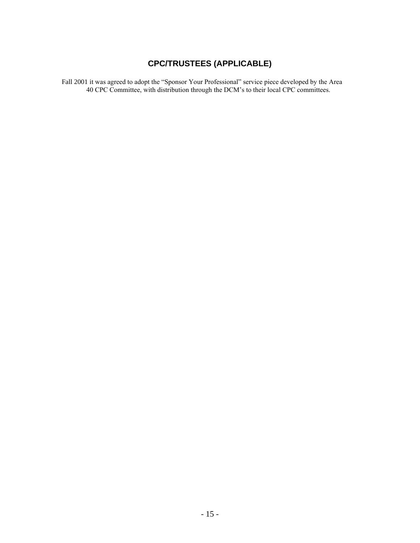## **CPC/TRUSTEES (APPLICABLE)**

Fall 2001 it was agreed to adopt the "Sponsor Your Professional" service piece developed by the Area 40 CPC Committee, with distribution through the DCM's to their local CPC committees.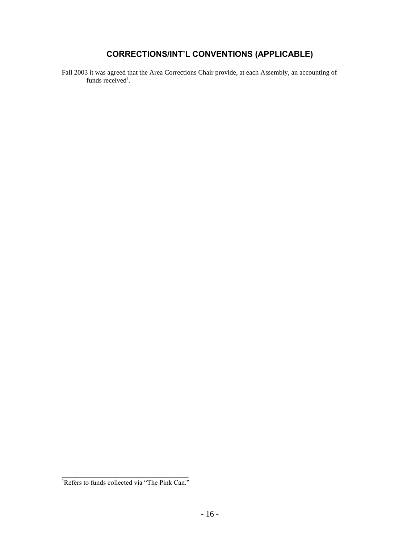## **CORRECTIONS/INT'L CONVENTIONS (APPLICABLE)**

Fall 2003 it was agreed that the Area Corrections Chair provide, at each Assembly, an accounting of funds received<sup>1</sup>.

\_\_\_\_\_\_\_\_\_\_\_\_\_\_\_\_\_\_\_\_\_\_\_\_\_\_\_\_\_\_\_\_\_\_\_\_\_ <sup>1</sup>Refers to funds collected via "The Pink Can."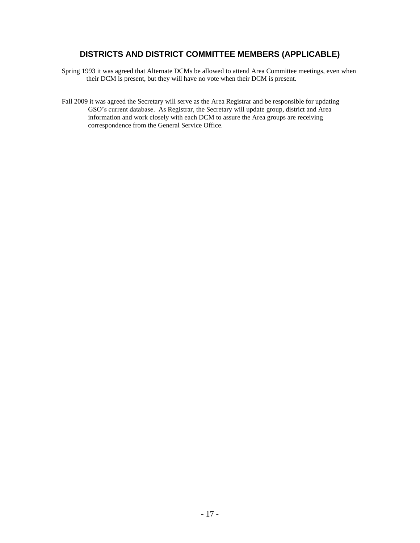## **DISTRICTS AND DISTRICT COMMITTEE MEMBERS (APPLICABLE)**

- Spring 1993 it was agreed that Alternate DCMs be allowed to attend Area Committee meetings, even when their DCM is present, but they will have no vote when their DCM is present.
- Fall 2009 it was agreed the Secretary will serve as the Area Registrar and be responsible for updating GSO's current database. As Registrar, the Secretary will update group, district and Area information and work closely with each DCM to assure the Area groups are receiving correspondence from the General Service Office.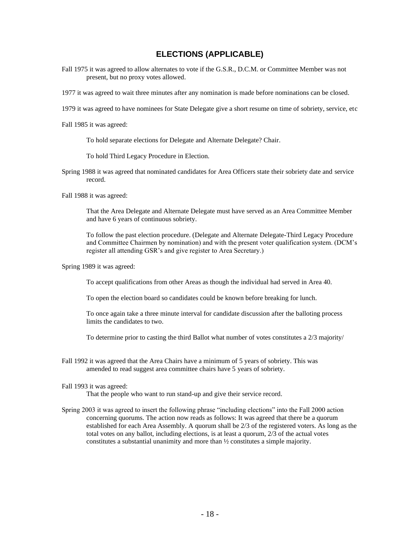## **ELECTIONS (APPLICABLE)**

- Fall 1975 it was agreed to allow alternates to vote if the G.S.R., D.C.M. or Committee Member was not present, but no proxy votes allowed.
- 1977 it was agreed to wait three minutes after any nomination is made before nominations can be closed.
- 1979 it was agreed to have nominees for State Delegate give a short resume on time of sobriety, service, etc
- Fall 1985 it was agreed:
	- To hold separate elections for Delegate and Alternate Delegate? Chair.
	- To hold Third Legacy Procedure in Election.
- Spring 1988 it was agreed that nominated candidates for Area Officers state their sobriety date and service record.
- Fall 1988 it was agreed:
	- That the Area Delegate and Alternate Delegate must have served as an Area Committee Member and have 6 years of continuous sobriety.
	- To follow the past election procedure. (Delegate and Alternate Delegate-Third Legacy Procedure and Committee Chairmen by nomination) and with the present voter qualification system. (DCM's register all attending GSR's and give register to Area Secretary.)
- Spring 1989 it was agreed:
	- To accept qualifications from other Areas as though the individual had served in Area 40.
	- To open the election board so candidates could be known before breaking for lunch.
	- To once again take a three minute interval for candidate discussion after the balloting process limits the candidates to two.
	- To determine prior to casting the third Ballot what number of votes constitutes a 2/3 majority/
- Fall 1992 it was agreed that the Area Chairs have a minimum of 5 years of sobriety. This was amended to read suggest area committee chairs have 5 years of sobriety.

#### Fall 1993 it was agreed:

That the people who want to run stand-up and give their service record.

Spring 2003 it was agreed to insert the following phrase "including elections" into the Fall 2000 action concerning quorums. The action now reads as follows: It was agreed that there be a quorum established for each Area Assembly. A quorum shall be 2/3 of the registered voters. As long as the total votes on any ballot, including elections, is at least a quorum, 2/3 of the actual votes constitutes a substantial unanimity and more than ½ constitutes a simple majority.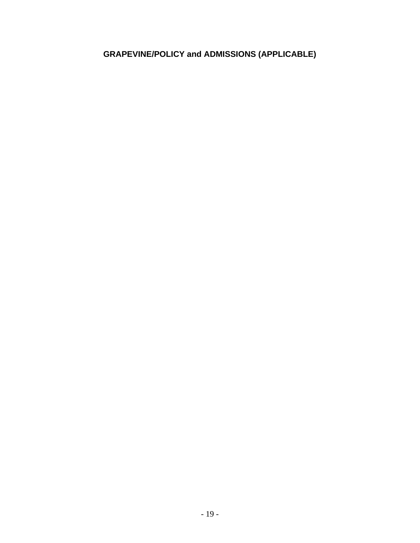## **GRAPEVINE/POLICY and ADMISSIONS (APPLICABLE)**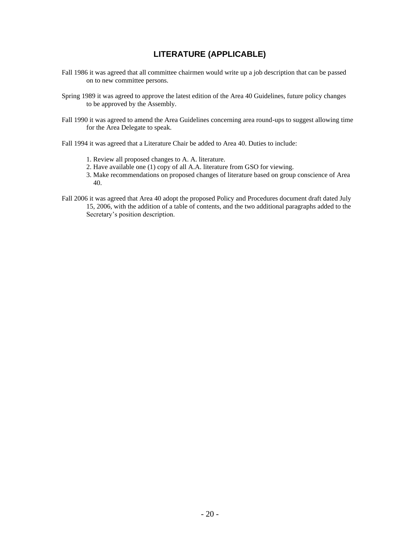## **LITERATURE (APPLICABLE)**

- Fall 1986 it was agreed that all committee chairmen would write up a job description that can be passed on to new committee persons.
- Spring 1989 it was agreed to approve the latest edition of the Area 40 Guidelines, future policy changes to be approved by the Assembly.
- Fall 1990 it was agreed to amend the Area Guidelines concerning area round-ups to suggest allowing time for the Area Delegate to speak.
- Fall 1994 it was agreed that a Literature Chair be added to Area 40. Duties to include:
	- 1. Review all proposed changes to A. A. literature.
	- 2. Have available one (1) copy of all A.A. literature from GSO for viewing.
	- 3. Make recommendations on proposed changes of literature based on group conscience of Area 40.
- Fall 2006 it was agreed that Area 40 adopt the proposed Policy and Procedures document draft dated July 15, 2006, with the addition of a table of contents, and the two additional paragraphs added to the Secretary's position description.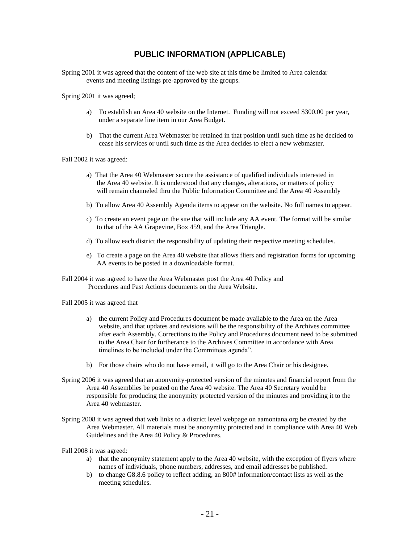## **PUBLIC INFORMATION (APPLICABLE)**

- Spring 2001 it was agreed that the content of the web site at this time be limited to Area calendar events and meeting listings pre-approved by the groups.
- Spring 2001 it was agreed;
	- a) To establish an Area 40 website on the Internet. Funding will not exceed \$300.00 per year, under a separate line item in our Area Budget.
	- b) That the current Area Webmaster be retained in that position until such time as he decided to cease his services or until such time as the Area decides to elect a new webmaster.

Fall 2002 it was agreed:

- a) That the Area 40 Webmaster secure the assistance of qualified individuals interested in the Area 40 website. It is understood that any changes, alterations, or matters of policy will remain channeled thru the Public Information Committee and the Area 40 Assembly
- b) To allow Area 40 Assembly Agenda items to appear on the website. No full names to appear.
- c) To create an event page on the site that will include any AA event. The format will be similar to that of the AA Grapevine, Box 459, and the Area Triangle.
- d) To allow each district the responsibility of updating their respective meeting schedules.
- e) To create a page on the Area 40 website that allows fliers and registration forms for upcoming AA events to be posted in a downloadable format.
- Fall 2004 it was agreed to have the Area Webmaster post the Area 40 Policy and Procedures and Past Actions documents on the Area Website.

Fall 2005 it was agreed that

- a) the current Policy and Procedures document be made available to the Area on the Area website, and that updates and revisions will be the responsibility of the Archives committee after each Assembly. Corrections to the Policy and Procedures document need to be submitted to the Area Chair for furtherance to the Archives Committee in accordance with Area timelines to be included under the Committees agenda".
- b) For those chairs who do not have email, it will go to the Area Chair or his designee.
- Spring 2006 it was agreed that an anonymity-protected version of the minutes and financial report from the Area 40 Assemblies be posted on the Area 40 website. The Area 40 Secretary would be responsible for producing the anonymity protected version of the minutes and providing it to the Area 40 webmaster.
- Spring 2008 it was agreed that web links to a district level webpage on aamontana.org be created by the Area Webmaster. All materials must be anonymity protected and in compliance with Area 40 Web Guidelines and the Area 40 Policy & Procedures.

Fall 2008 it was agreed:

- a) that the anonymity statement apply to the Area 40 website, with the exception of flyers where names of individuals, phone numbers, addresses, and email addresses be published**.**
- b) to change G8.8.6 policy to reflect adding, an 800# information/contact lists as well as the meeting schedules.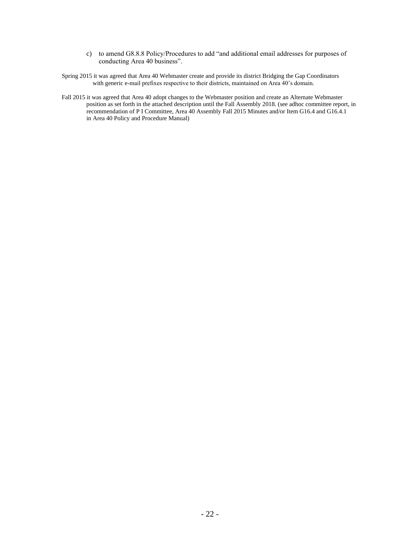- c) to amend G8.8.8 Policy/Procedures to add "and additional email addresses for purposes of conducting Area 40 business".
- Spring 2015 it was agreed that Area 40 Webmaster create and provide its district Bridging the Gap Coordinators with generic e-mail prefixes respective to their districts, maintained on Area 40's domain.
- Fall 2015 it was agreed that Area 40 adopt changes to the Webmaster position and create an Alternate Webmaster position as set forth in the attached description until the Fall Assembly 2018. (see adhoc committee report, in recommendation of P I Committee, Area 40 Assembly Fall 2015 Minutes and/or Item G16.4 and G16.4.1 in Area 40 Policy and Procedure Manual)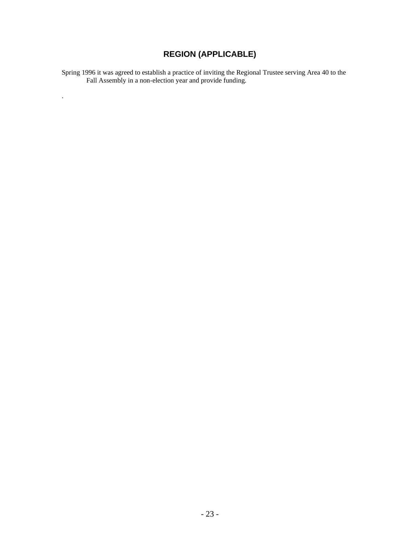## **REGION (APPLICABLE)**

Spring 1996 it was agreed to establish a practice of inviting the Regional Trustee serving Area 40 to the Fall Assembly in a non-election year and provide funding.

.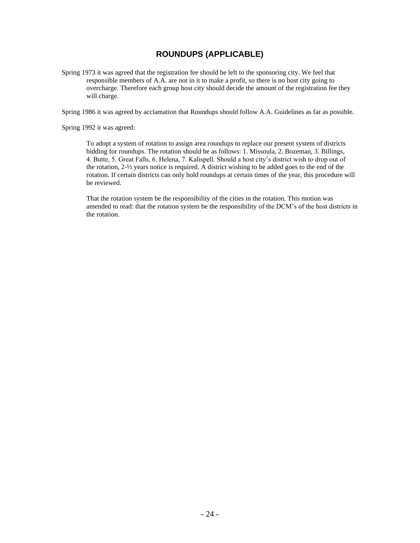## **ROUNDUPS (APPLICABLE)**

Spring 1973 it was agreed that the registration fee should be left to the sponsoring city. We feel that responsible members of A.A. are not in it to make a profit, so there is no host city going to overcharge. Therefore each group host city should decide the amount of the registration fee they will charge.

Spring 1986 it was agreed by acclamation that Roundups should follow A.A. Guidelines as far as possible.

Spring 1992 it was agreed:

To adopt a system of rotation to assign area roundups to replace our present system of districts bidding for roundups. The rotation should be as follows: 1. Missoula, 2. Bozeman, 3. Billings, 4. Butte, 5. Great Falls, 6. Helena, 7. Kalispell. Should a host city's district wish to drop out of the rotation, 2-½ years notice is required. A district wishing to be added goes to the end of the rotation. If certain districts can only hold roundups at certain times of the year, this procedure will be reviewed.

That the rotation system be the responsibility of the cities in the rotation. This motion was amended to read: that the rotation system be the responsibility of the DCM's of the host districts in the rotation.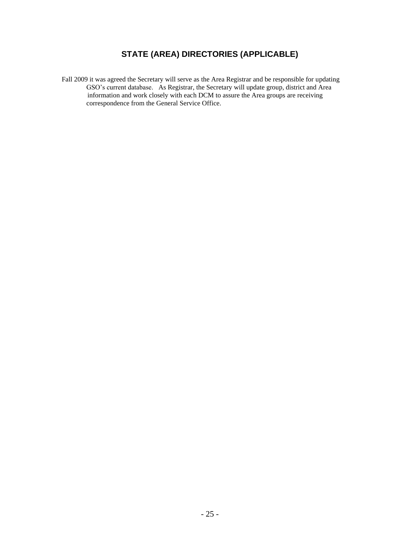## **STATE (AREA) DIRECTORIES (APPLICABLE)**

Fall 2009 it was agreed the Secretary will serve as the Area Registrar and be responsible for updating GSO's current database. As Registrar, the Secretary will update group, district and Area information and work closely with each DCM to assure the Area groups are receiving correspondence from the General Service Office.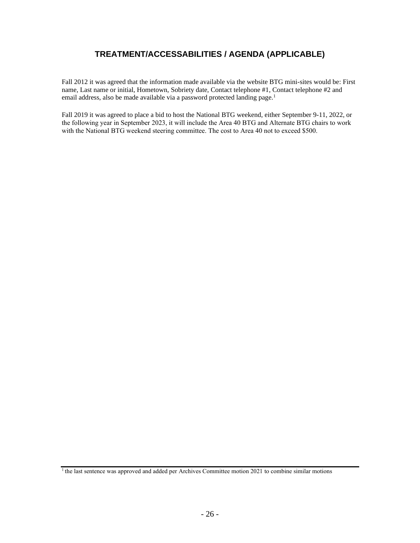## **TREATMENT/ACCESSABILITIES / AGENDA (APPLICABLE)**

Fall 2012 it was agreed that the information made available via the website BTG mini-sites would be: First name, Last name or initial, Hometown, Sobriety date, Contact telephone #1, Contact telephone #2 and email address, also be made available via a password protected landing page.<sup>1</sup>

Fall 2019 it was agreed to place a bid to host the National BTG weekend, either September 9-11, 2022, or the following year in September 2023, it will include the Area 40 BTG and Alternate BTG chairs to work with the National BTG weekend steering committee. The cost to Area 40 not to exceed \$500.

<sup>&</sup>lt;sup>1</sup> the last sentence was approved and added per Archives Committee motion 2021 to combine similar motions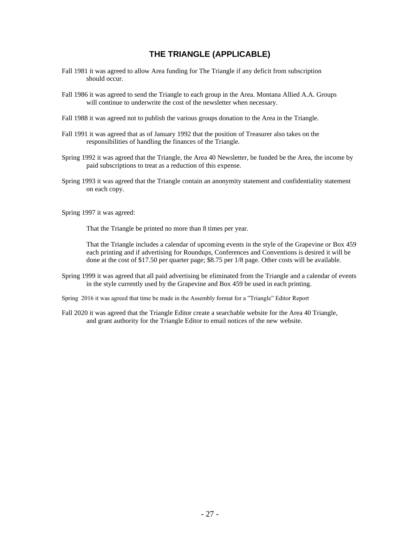## **THE TRIANGLE (APPLICABLE)**

- Fall 1981 it was agreed to allow Area funding for The Triangle if any deficit from subscription should occur.
- Fall 1986 it was agreed to send the Triangle to each group in the Area. Montana Allied A.A. Groups will continue to underwrite the cost of the newsletter when necessary.
- Fall 1988 it was agreed not to publish the various groups donation to the Area in the Triangle.
- Fall 1991 it was agreed that as of January 1992 that the position of Treasurer also takes on the responsibilities of handling the finances of the Triangle.
- Spring 1992 it was agreed that the Triangle, the Area 40 Newsletter, be funded be the Area, the income by paid subscriptions to treat as a reduction of this expense.
- Spring 1993 it was agreed that the Triangle contain an anonymity statement and confidentiality statement on each copy.
- Spring 1997 it was agreed:

That the Triangle be printed no more than 8 times per year.

That the Triangle includes a calendar of upcoming events in the style of the Grapevine or Box 459 each printing and if advertising for Roundups, Conferences and Conventions is desired it will be done at the cost of \$17.50 per quarter page; \$8.75 per 1/8 page. Other costs will be available.

- Spring 1999 it was agreed that all paid advertising be eliminated from the Triangle and a calendar of events in the style currently used by the Grapevine and Box 459 be used in each printing.
- Spring 2016 it was agreed that time be made in the Assembly format for a "Triangle" Editor Report
- Fall 2020 it was agreed that the Triangle Editor create a searchable website for the Area 40 Triangle, and grant authority for the Triangle Editor to email notices of the new website.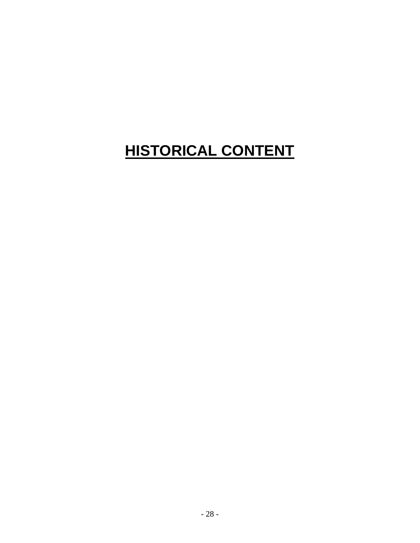## **HISTORICAL CONTENT**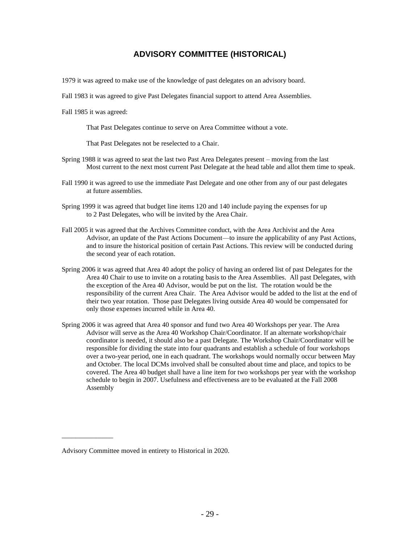## **ADVISORY COMMITTEE (HISTORICAL)**

1979 it was agreed to make use of the knowledge of past delegates on an advisory board.

Fall 1983 it was agreed to give Past Delegates financial support to attend Area Assemblies.

Fall 1985 it was agreed:

That Past Delegates continue to serve on Area Committee without a vote.

That Past Delegates not be reselected to a Chair.

- Spring 1988 it was agreed to seat the last two Past Area Delegates present moving from the last Most current to the next most current Past Delegate at the head table and allot them time to speak.
- Fall 1990 it was agreed to use the immediate Past Delegate and one other from any of our past delegates at future assemblies.
- Spring 1999 it was agreed that budget line items 120 and 140 include paying the expenses for up to 2 Past Delegates, who will be invited by the Area Chair.
- Fall 2005 it was agreed that the Archives Committee conduct, with the Area Archivist and the Area Advisor, an update of the Past Actions Document—to insure the applicability of any Past Actions, and to insure the historical position of certain Past Actions. This review will be conducted during the second year of each rotation.
- Spring 2006 it was agreed that Area 40 adopt the policy of having an ordered list of past Delegates for the Area 40 Chair to use to invite on a rotating basis to the Area Assemblies. All past Delegates, with the exception of the Area 40 Advisor, would be put on the list. The rotation would be the responsibility of the current Area Chair. The Area Advisor would be added to the list at the end of their two year rotation. Those past Delegates living outside Area 40 would be compensated for only those expenses incurred while in Area 40.
- Spring 2006 it was agreed that Area 40 sponsor and fund two Area 40 Workshops per year. The Area Advisor will serve as the Area 40 Workshop Chair/Coordinator. If an alternate workshop/chair coordinator is needed, it should also be a past Delegate. The Workshop Chair/Coordinator will be responsible for dividing the state into four quadrants and establish a schedule of four workshops over a two-year period, one in each quadrant. The workshops would normally occur between May and October. The local DCMs involved shall be consulted about time and place, and topics to be covered. The Area 40 budget shall have a line item for two workshops per year with the workshop schedule to begin in 2007. Usefulness and effectiveness are to be evaluated at the Fall 2008 Assembly

\_\_\_\_\_\_\_\_\_\_\_\_\_\_\_

Advisory Committee moved in entirety to Historical in 2020.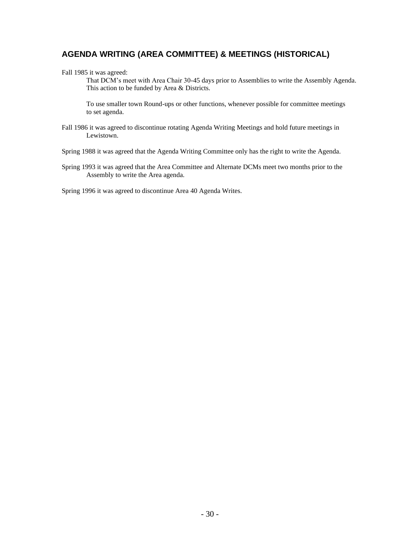## **AGENDA WRITING (AREA COMMITTEE) & MEETINGS (HISTORICAL)**

#### Fall 1985 it was agreed:

That DCM's meet with Area Chair 30-45 days prior to Assemblies to write the Assembly Agenda. This action to be funded by Area & Districts.

To use smaller town Round-ups or other functions, whenever possible for committee meetings to set agenda.

- Fall 1986 it was agreed to discontinue rotating Agenda Writing Meetings and hold future meetings in Lewistown.
- Spring 1988 it was agreed that the Agenda Writing Committee only has the right to write the Agenda.
- Spring 1993 it was agreed that the Area Committee and Alternate DCMs meet two months prior to the Assembly to write the Area agenda.

Spring 1996 it was agreed to discontinue Area 40 Agenda Writes.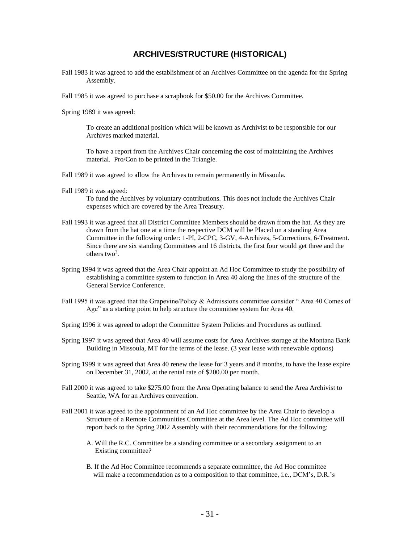## **ARCHIVES/STRUCTURE (HISTORICAL)**

- Fall 1983 it was agreed to add the establishment of an Archives Committee on the agenda for the Spring Assembly.
- Fall 1985 it was agreed to purchase a scrapbook for \$50.00 for the Archives Committee.

Spring 1989 it was agreed:

To create an additional position which will be known as Archivist to be responsible for our Archives marked material.

To have a report from the Archives Chair concerning the cost of maintaining the Archives material. Pro/Con to be printed in the Triangle.

- Fall 1989 it was agreed to allow the Archives to remain permanently in Missoula.
- Fall 1989 it was agreed:

To fund the Archives by voluntary contributions. This does not include the Archives Chair expenses which are covered by the Area Treasury.

- Fall 1993 it was agreed that all District Committee Members should be drawn from the hat. As they are drawn from the hat one at a time the respective DCM will be Placed on a standing Area Committee in the following order: 1-PI, 2-CPC, 3-GV, 4-Archives, 5-Corrections, 6-Treatment. Since there are six standing Committees and 16 districts, the first four would get three and the others two<sup>3</sup>.
- Spring 1994 it was agreed that the Area Chair appoint an Ad Hoc Committee to study the possibility of establishing a committee system to function in Area 40 along the lines of the structure of the General Service Conference.
- Fall 1995 it was agreed that the Grapevine/Policy & Admissions committee consider " Area 40 Comes of Age" as a starting point to help structure the committee system for Area 40.
- Spring 1996 it was agreed to adopt the Committee System Policies and Procedures as outlined.
- Spring 1997 it was agreed that Area 40 will assume costs for Area Archives storage at the Montana Bank Building in Missoula, MT for the terms of the lease. (3 year lease with renewable options)
- Spring 1999 it was agreed that Area 40 renew the lease for 3 years and 8 months, to have the lease expire on December 31, 2002, at the rental rate of \$200.00 per month.
- Fall 2000 it was agreed to take \$275.00 from the Area Operating balance to send the Area Archivist to Seattle, WA for an Archives convention.
- Fall 2001 it was agreed to the appointment of an Ad Hoc committee by the Area Chair to develop a Structure of a Remote Communities Committee at the Area level. The Ad Hoc committee will report back to the Spring 2002 Assembly with their recommendations for the following:
	- A. Will the R.C. Committee be a standing committee or a secondary assignment to an Existing committee?
	- B. If the Ad Hoc Committee recommends a separate committee, the Ad Hoc committee will make a recommendation as to a composition to that committee, i.e., DCM's, D.R.'s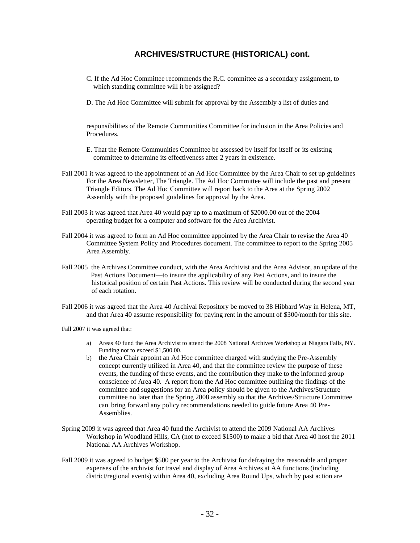## **ARCHIVES/STRUCTURE (HISTORICAL) cont.**

- C. If the Ad Hoc Committee recommends the R.C. committee as a secondary assignment, to which standing committee will it be assigned?
- D. The Ad Hoc Committee will submit for approval by the Assembly a list of duties and

responsibilities of the Remote Communities Committee for inclusion in the Area Policies and Procedures.

- E. That the Remote Communities Committee be assessed by itself for itself or its existing committee to determine its effectiveness after 2 years in existence.
- Fall 2001 it was agreed to the appointment of an Ad Hoc Committee by the Area Chair to set up guidelines For the Area Newsletter, The Triangle. The Ad Hoc Committee will include the past and present Triangle Editors. The Ad Hoc Committee will report back to the Area at the Spring 2002 Assembly with the proposed guidelines for approval by the Area.
- Fall 2003 it was agreed that Area 40 would pay up to a maximum of \$2000.00 out of the 2004 operating budget for a computer and software for the Area Archivist.
- Fall 2004 it was agreed to form an Ad Hoc committee appointed by the Area Chair to revise the Area 40 Committee System Policy and Procedures document. The committee to report to the Spring 2005 Area Assembly.
- Fall 2005 the Archives Committee conduct, with the Area Archivist and the Area Advisor, an update of the Past Actions Document—to insure the applicability of any Past Actions, and to insure the historical position of certain Past Actions. This review will be conducted during the second year of each rotation.
- Fall 2006 it was agreed that the Area 40 Archival Repository be moved to 38 Hibbard Way in Helena, MT, and that Area 40 assume responsibility for paying rent in the amount of \$300/month for this site.
- Fall 2007 it was agreed that:
	- a) Areas 40 fund the Area Archivist to attend the 2008 National Archives Workshop at Niagara Falls, NY. Funding not to exceed \$1,500.00.
	- b) the Area Chair appoint an Ad Hoc committee charged with studying the Pre-Assembly concept currently utilized in Area 40, and that the committee review the purpose of these events, the funding of these events, and the contribution they make to the informed group conscience of Area 40. A report from the Ad Hoc committee outlining the findings of the committee and suggestions for an Area policy should be given to the Archives/Structure committee no later than the Spring 2008 assembly so that the Archives/Structure Committee can bring forward any policy recommendations needed to guide future Area 40 Pre-Assemblies.
- Spring 2009 it was agreed that Area 40 fund the Archivist to attend the 2009 National AA Archives Workshop in Woodland Hills, CA (not to exceed \$1500) to make a bid that Area 40 host the 2011 National AA Archives Workshop.
- Fall 2009 it was agreed to budget \$500 per year to the Archivist for defraying the reasonable and proper expenses of the archivist for travel and display of Area Archives at AA functions (including district/regional events) within Area 40, excluding Area Round Ups, which by past action are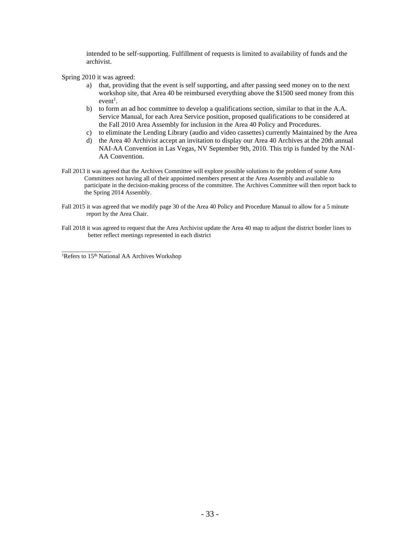intended to be self‐supporting. Fulfillment of requests is limited to availability of funds and the archivist.

Spring 2010 it was agreed:

- a) that, providing that the event is self supporting, and after passing seed money on to the next workshop site, that Area 40 be reimbursed everything above the \$1500 seed money from this  $event<sup>1</sup>$ .
- b) to form an ad hoc committee to develop a qualifications section, similar to that in the A.A. Service Manual, for each Area Service position, proposed qualifications to be considered at the Fall 2010 Area Assembly for inclusion in the Area 40 Policy and Procedures.
- c) to eliminate the Lending Library (audio and video cassettes) currently Maintained by the Area
- d) the Area 40 Archivist accept an invitation to display our Area 40 Archives at the 20th annual NAI-AA Convention in Las Vegas, NV September 9th, 2010. This trip is funded by the NAI-AA Convention.
- Fall 2013 it was agreed that the Archives Committee will explore possible solutions to the problem of some Area Committees not having all of their appointed members present at the Area Assembly and available to participate in the decision-making process of the committee. The Archives Committee will then report back to the Spring 2014 Assembly.
- Fall 2015 it was agreed that we modify page 30 of the Area 40 Policy and Procedure Manual to allow for a 5 minute report by the Area Chair.
- Fall 2018 it was agreed to request that the Area Archivist update the Area 40 map to adjust the district border lines to better reflect meetings represented in each district

\_\_\_\_\_\_\_\_\_\_\_\_\_\_\_\_ <sup>1</sup>Refers to 15<sup>th</sup> National AA Archives Workshop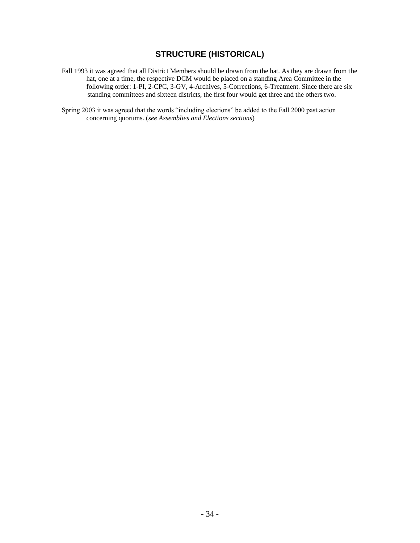## **STRUCTURE (HISTORICAL)**

- Fall 1993 it was agreed that all District Members should be drawn from the hat. As they are drawn from the hat, one at a time, the respective DCM would be placed on a standing Area Committee in the following order: 1-PI, 2-CPC, 3-GV, 4-Archives, 5-Corrections, 6-Treatment. Since there are six standing committees and sixteen districts, the first four would get three and the others two.
- Spring 2003 it was agreed that the words "including elections" be added to the Fall 2000 past action concerning quorums. (*see Assemblies and Elections sections*)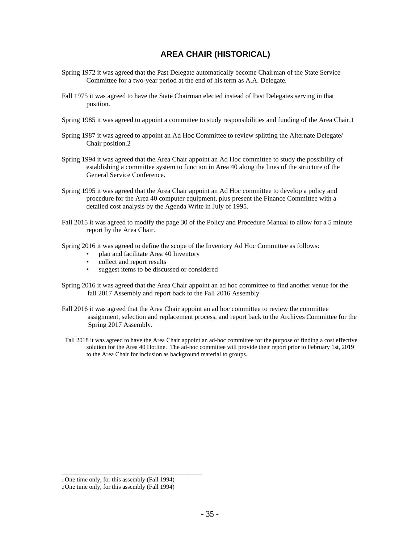## **AREA CHAIR (HISTORICAL)**

- Spring 1972 it was agreed that the Past Delegate automatically become Chairman of the State Service Committee for a two-year period at the end of his term as A.A. Delegate.
- Fall 1975 it was agreed to have the State Chairman elected instead of Past Delegates serving in that position.
- Spring 1985 it was agreed to appoint a committee to study responsibilities and funding of the Area Chair.1
- Spring 1987 it was agreed to appoint an Ad Hoc Committee to review splitting the Alternate Delegate/ Chair position.2
- Spring 1994 it was agreed that the Area Chair appoint an Ad Hoc committee to study the possibility of establishing a committee system to function in Area 40 along the lines of the structure of the General Service Conference.
- Spring 1995 it was agreed that the Area Chair appoint an Ad Hoc committee to develop a policy and procedure for the Area 40 computer equipment, plus present the Finance Committee with a detailed cost analysis by the Agenda Write in July of 1995.
- Fall 2015 it was agreed to modify the page 30 of the Policy and Procedure Manual to allow for a 5 minute report by the Area Chair.
- Spring 2016 it was agreed to define the scope of the Inventory Ad Hoc Committee as follows:
	- plan and facilitate Area 40 Inventory
	- collect and report results
	- suggest items to be discussed or considered
- Spring 2016 it was agreed that the Area Chair appoint an ad hoc committee to find another venue for the fall 2017 Assembly and report back to the Fall 2016 Assembly
- Fall 2016 it was agreed that the Area Chair appoint an ad hoc committee to review the committee assignment, selection and replacement process, and report back to the Archives Committee for the Spring 2017 Assembly.
- Fall 2018 it was agreed to have the Area Chair appoint an ad-hoc committee for the purpose of finding a cost effective solution for the Area 40 Hotline. The ad-hoc committee will provide their report prior to February 1st, 2019 to the Area Chair for inclusion as background material to groups.

\_\_\_\_\_\_\_\_\_\_\_\_\_\_\_\_\_\_\_\_\_\_\_\_\_\_\_\_\_\_\_\_\_\_\_\_\_\_\_\_\_

<sup>1</sup>One time only, for this assembly (Fall 1994)

<sup>2</sup> One time only, for this assembly (Fall 1994)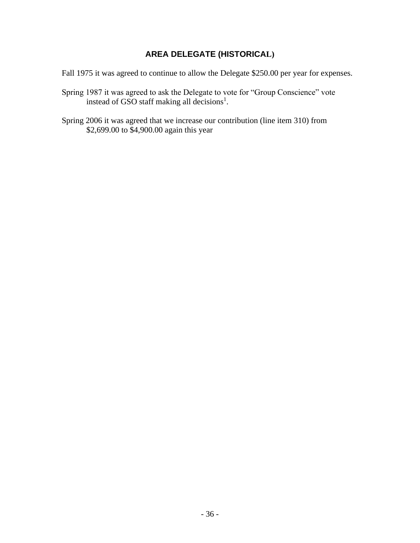## **AREA DELEGATE (HISTORICAL)**

Fall 1975 it was agreed to continue to allow the Delegate \$250.00 per year for expenses.

- Spring 1987 it was agreed to ask the Delegate to vote for "Group Conscience" vote instead of GSO staff making all decisions<sup>1</sup>.
- Spring 2006 it was agreed that we increase our contribution (line item 310) from \$2,699.00 to \$4,900.00 again this year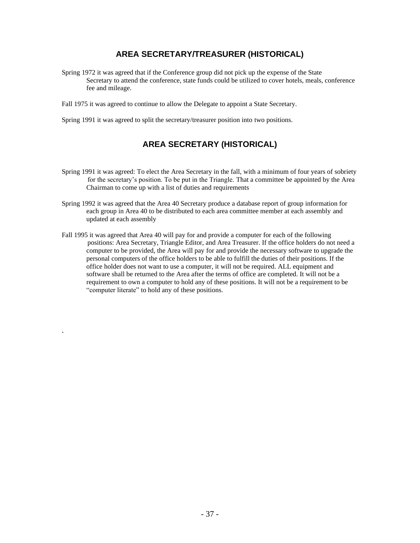## **AREA SECRETARY/TREASURER (HISTORICAL)**

Spring 1972 it was agreed that if the Conference group did not pick up the expense of the State Secretary to attend the conference, state funds could be utilized to cover hotels, meals, conference fee and mileage.

Fall 1975 it was agreed to continue to allow the Delegate to appoint a State Secretary.

Spring 1991 it was agreed to split the secretary/treasurer position into two positions.

.

## **AREA SECRETARY (HISTORICAL)**

- Spring 1991 it was agreed: To elect the Area Secretary in the fall, with a minimum of four years of sobriety for the secretary's position. To be put in the Triangle. That a committee be appointed by the Area Chairman to come up with a list of duties and requirements
- Spring 1992 it was agreed that the Area 40 Secretary produce a database report of group information for each group in Area 40 to be distributed to each area committee member at each assembly and updated at each assembly
- Fall 1995 it was agreed that Area 40 will pay for and provide a computer for each of the following positions: Area Secretary, Triangle Editor, and Area Treasurer. If the office holders do not need a computer to be provided, the Area will pay for and provide the necessary software to upgrade the personal computers of the office holders to be able to fulfill the duties of their positions. If the office holder does not want to use a computer, it will not be required. ALL equipment and software shall be returned to the Area after the terms of office are completed. It will not be a requirement to own a computer to hold any of these positions. It will not be a requirement to be "computer literate" to hold any of these positions.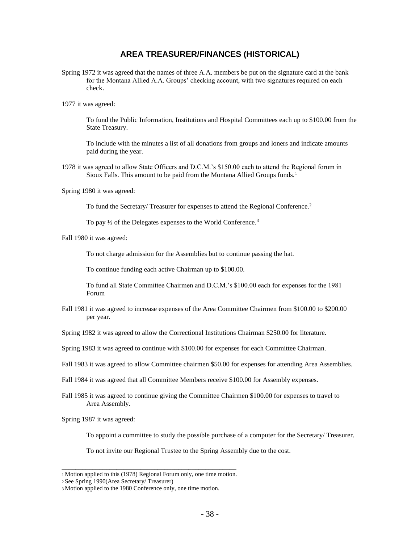#### **AREA TREASURER/FINANCES (HISTORICAL)**

- Spring 1972 it was agreed that the names of three A.A. members be put on the signature card at the bank for the Montana Allied A.A. Groups' checking account, with two signatures required on each check.
- 1977 it was agreed:

To fund the Public Information, Institutions and Hospital Committees each up to \$100.00 from the State Treasury.

To include with the minutes a list of all donations from groups and loners and indicate amounts paid during the year.

- 1978 it was agreed to allow State Officers and D.C.M.'s \$150.00 each to attend the Regional forum in Sioux Falls. This amount to be paid from the Montana Allied Groups funds.<sup>1</sup>
- Spring 1980 it was agreed:

To fund the Secretary/ Treasurer for expenses to attend the Regional Conference.<sup>2</sup>

To pay  $\frac{1}{2}$  of the Delegates expenses to the World Conference.<sup>3</sup>

Fall 1980 it was agreed:

To not charge admission for the Assemblies but to continue passing the hat.

To continue funding each active Chairman up to \$100.00.

To fund all State Committee Chairmen and D.C.M.'s \$100.00 each for expenses for the 1981 Forum

Fall 1981 it was agreed to increase expenses of the Area Committee Chairmen from \$100.00 to \$200.00 per year.

Spring 1982 it was agreed to allow the Correctional Institutions Chairman \$250.00 for literature.

- Spring 1983 it was agreed to continue with \$100.00 for expenses for each Committee Chairman.
- Fall 1983 it was agreed to allow Committee chairmen \$50.00 for expenses for attending Area Assemblies.
- Fall 1984 it was agreed that all Committee Members receive \$100.00 for Assembly expenses.
- Fall 1985 it was agreed to continue giving the Committee Chairmen \$100.00 for expenses to travel to Area Assembly.

Spring 1987 it was agreed:

To appoint a committee to study the possible purchase of a computer for the Secretary/ Treasurer.

To not invite our Regional Trustee to the Spring Assembly due to the cost.

\_\_\_\_\_\_\_\_\_\_\_\_\_\_\_\_\_\_\_\_\_\_\_\_\_\_\_\_\_\_\_\_\_\_\_\_\_\_\_\_\_\_\_\_\_\_\_\_\_\_\_ <sup>1</sup>Motion applied to this (1978) Regional Forum only, one time motion.

<sup>2</sup>See Spring 1990(Area Secretary/ Treasurer)

<sup>3</sup> Motion applied to the 1980 Conference only, one time motion.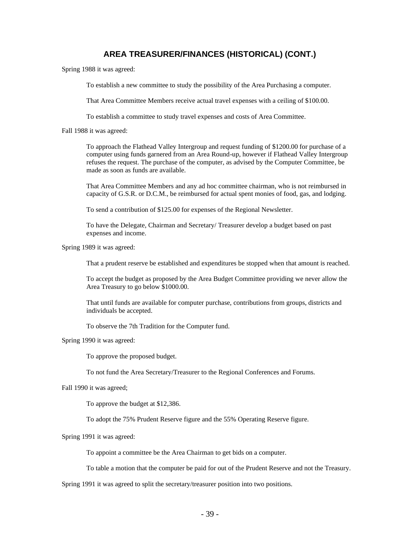## **AREA TREASURER/FINANCES (HISTORICAL) (CONT.)**

Spring 1988 it was agreed:

To establish a new committee to study the possibility of the Area Purchasing a computer.

That Area Committee Members receive actual travel expenses with a ceiling of \$100.00.

To establish a committee to study travel expenses and costs of Area Committee.

Fall 1988 it was agreed:

To approach the Flathead Valley Intergroup and request funding of \$1200.00 for purchase of a computer using funds garnered from an Area Round-up, however if Flathead Valley Intergroup refuses the request. The purchase of the computer, as advised by the Computer Committee, be made as soon as funds are available.

That Area Committee Members and any ad hoc committee chairman, who is not reimbursed in capacity of G.S.R. or D.C.M., be reimbursed for actual spent monies of food, gas, and lodging.

To send a contribution of \$125.00 for expenses of the Regional Newsletter.

To have the Delegate, Chairman and Secretary/ Treasurer develop a budget based on past expenses and income.

Spring 1989 it was agreed:

That a prudent reserve be established and expenditures be stopped when that amount is reached.

To accept the budget as proposed by the Area Budget Committee providing we never allow the Area Treasury to go below \$1000.00.

That until funds are available for computer purchase, contributions from groups, districts and individuals be accepted.

To observe the 7th Tradition for the Computer fund.

Spring 1990 it was agreed:

To approve the proposed budget.

To not fund the Area Secretary/Treasurer to the Regional Conferences and Forums.

Fall 1990 it was agreed;

To approve the budget at \$12,386.

To adopt the 75% Prudent Reserve figure and the 55% Operating Reserve figure.

Spring 1991 it was agreed:

To appoint a committee be the Area Chairman to get bids on a computer.

To table a motion that the computer be paid for out of the Prudent Reserve and not the Treasury.

Spring 1991 it was agreed to split the secretary/treasurer position into two positions.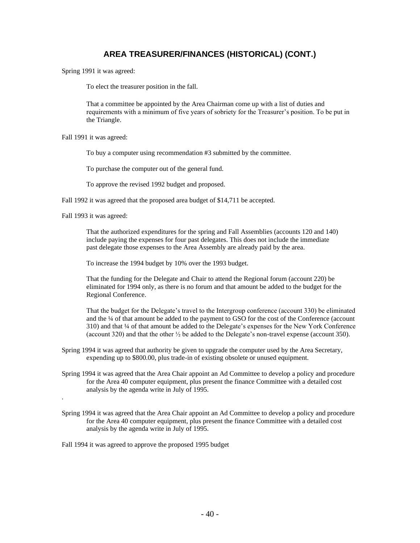## **AREA TREASURER/FINANCES (HISTORICAL) (CONT.)**

Spring 1991 it was agreed:

To elect the treasurer position in the fall.

That a committee be appointed by the Area Chairman come up with a list of duties and requirements with a minimum of five years of sobriety for the Treasurer's position. To be put in the Triangle.

Fall 1991 it was agreed:

To buy a computer using recommendation #3 submitted by the committee.

To purchase the computer out of the general fund.

To approve the revised 1992 budget and proposed.

Fall 1992 it was agreed that the proposed area budget of \$14,711 be accepted.

Fall 1993 it was agreed:

.

That the authorized expenditures for the spring and Fall Assemblies (accounts 120 and 140) include paying the expenses for four past delegates. This does not include the immediate past delegate those expenses to the Area Assembly are already paid by the area.

To increase the 1994 budget by 10% over the 1993 budget.

That the funding for the Delegate and Chair to attend the Regional forum (account 220) be eliminated for 1994 only, as there is no forum and that amount be added to the budget for the Regional Conference.

That the budget for the Delegate's travel to the Intergroup conference (account 330) be eliminated and the ¼ of that amount be added to the payment to GSO for the cost of the Conference (account 310) and that ¼ of that amount be added to the Delegate's expenses for the New York Conference (account 320) and that the other ½ be added to the Delegate's non-travel expense (account 350).

Spring 1994 it was agreed that authority be given to upgrade the computer used by the Area Secretary, expending up to \$800.00, plus trade-in of existing obsolete or unused equipment.

- Spring 1994 it was agreed that the Area Chair appoint an Ad Committee to develop a policy and procedure for the Area 40 computer equipment, plus present the finance Committee with a detailed cost analysis by the agenda write in July of 1995.
- Spring 1994 it was agreed that the Area Chair appoint an Ad Committee to develop a policy and procedure for the Area 40 computer equipment, plus present the finance Committee with a detailed cost analysis by the agenda write in July of 1995.

Fall 1994 it was agreed to approve the proposed 1995 budget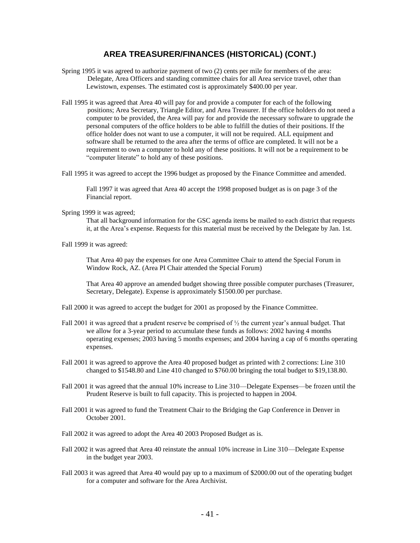## **AREA TREASURER/FINANCES (HISTORICAL) (CONT.)**

- Spring 1995 it was agreed to authorize payment of two (2) cents per mile for members of the area: Delegate, Area Officers and standing committee chairs for all Area service travel, other than Lewistown, expenses. The estimated cost is approximately \$400.00 per year.
- Fall 1995 it was agreed that Area 40 will pay for and provide a computer for each of the following positions; Area Secretary, Triangle Editor, and Area Treasurer. If the office holders do not need a computer to be provided, the Area will pay for and provide the necessary software to upgrade the personal computers of the office holders to be able to fulfill the duties of their positions. If the office holder does not want to use a computer, it will not be required. ALL equipment and software shall be returned to the area after the terms of office are completed. It will not be a requirement to own a computer to hold any of these positions. It will not be a requirement to be "computer literate" to hold any of these positions.
- Fall 1995 it was agreed to accept the 1996 budget as proposed by the Finance Committee and amended.

Fall 1997 it was agreed that Area 40 accept the 1998 proposed budget as is on page 3 of the Financial report.

Spring 1999 it was agreed;

That all background information for the GSC agenda items be mailed to each district that requests it, at the Area's expense. Requests for this material must be received by the Delegate by Jan. 1st.

Fall 1999 it was agreed:

That Area 40 pay the expenses for one Area Committee Chair to attend the Special Forum in Window Rock, AZ. (Area PI Chair attended the Special Forum)

That Area 40 approve an amended budget showing three possible computer purchases (Treasurer, Secretary, Delegate). Expense is approximately \$1500.00 per purchase.

- Fall 2000 it was agreed to accept the budget for 2001 as proposed by the Finance Committee.
- Fall 2001 it was agreed that a prudent reserve be comprised of  $\frac{1}{2}$  the current year's annual budget. That we allow for a 3-year period to accumulate these funds as follows: 2002 having 4 months operating expenses; 2003 having 5 months expenses; and 2004 having a cap of 6 months operating expenses.
- Fall 2001 it was agreed to approve the Area 40 proposed budget as printed with 2 corrections: Line 310 changed to \$1548.80 and Line 410 changed to \$760.00 bringing the total budget to \$19,138.80.
- Fall 2001 it was agreed that the annual 10% increase to Line 310—Delegate Expenses—be frozen until the Prudent Reserve is built to full capacity. This is projected to happen in 2004.
- Fall 2001 it was agreed to fund the Treatment Chair to the Bridging the Gap Conference in Denver in October 2001.
- Fall 2002 it was agreed to adopt the Area 40 2003 Proposed Budget as is.
- Fall 2002 it was agreed that Area 40 reinstate the annual 10% increase in Line 310—Delegate Expense in the budget year 2003.
- Fall 2003 it was agreed that Area 40 would pay up to a maximum of \$2000.00 out of the operating budget for a computer and software for the Area Archivist.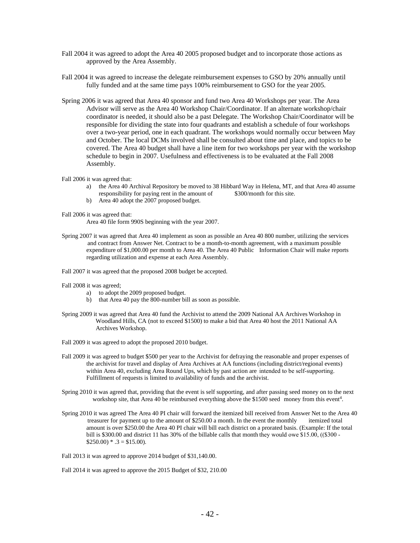- Fall 2004 it was agreed to adopt the Area 40 2005 proposed budget and to incorporate those actions as approved by the Area Assembly.
- Fall 2004 it was agreed to increase the delegate reimbursement expenses to GSO by 20% annually until fully funded and at the same time pays 100% reimbursement to GSO for the year 2005.
- Spring 2006 it was agreed that Area 40 sponsor and fund two Area 40 Workshops per year. The Area Advisor will serve as the Area 40 Workshop Chair/Coordinator. If an alternate workshop/chair coordinator is needed, it should also be a past Delegate. The Workshop Chair/Coordinator will be responsible for dividing the state into four quadrants and establish a schedule of four workshops over a two-year period, one in each quadrant. The workshops would normally occur between May and October. The local DCMs involved shall be consulted about time and place, and topics to be covered. The Area 40 budget shall have a line item for two workshops per year with the workshop schedule to begin in 2007. Usefulness and effectiveness is to be evaluated at the Fall 2008 Assembly.
- Fall 2006 it was agreed that:
	- a) the Area 40 Archival Repository be moved to 38 Hibbard Way in Helena, MT, and that Area 40 assume responsibility for paying rent in the amount of \$300/month for this site.
	- b) Area 40 adopt the 2007 proposed budget.
- Fall 2006 it was agreed that:

Area 40 file form 990S beginning with the year 2007.

- Spring 2007 it was agreed that Area 40 implement as soon as possible an Area 40 800 number, utilizing the services and contract from Answer Net. Contract to be a month-to-month agreement, with a maximum possible expenditure of \$1,000.00 per month to Area 40. The Area 40 Public Information Chair will make reports regarding utilization and expense at each Area Assembly.
- Fall 2007 it was agreed that the proposed 2008 budget be accepted.
- Fall 2008 it was agreed;
	- a) to adopt the 2009 proposed budget.
	- b) that Area 40 pay the 800-number bill as soon as possible.
- Spring 2009 it was agreed that Area 40 fund the Archivist to attend the 2009 National AA Archives Workshop in Woodland Hills, CA (not to exceed \$1500) to make a bid that Area 40 host the 2011 National AA Archives Workshop.
- Fall 2009 it was agreed to adopt the proposed 2010 budget.
- Fall 2009 it was agreed to budget \$500 per year to the Archivist for defraying the reasonable and proper expenses of the archivist for travel and display of Area Archives at AA functions (including district/regional events) within Area 40, excluding Area Round Ups, which by past action are intended to be self-supporting. Fulfillment of requests is limited to availability of funds and the archivist.
- Spring 2010 it was agreed that, providing that the event is self supporting, and after passing seed money on to the next workshop site, that Area 40 be reimbursed everything above the \$1500 seed money from this event<sup>4</sup>.
- Spring 2010 it was agreed The Area 40 PI chair will forward the itemized bill received from Answer Net to the Area 40 treasurer for payment up to the amount of \$250.00 a month. In the event the monthly itemized total amount is over \$250.00 the Area 40 PI chair will bill each district on a prorated basis. (Example: If the total bill is \$300.00 and district 11 has 30% of the billable calls that month they would owe \$15.00, ((\$300 ‐  $$250.00$ ) \* .3 = \$15.00).
- Fall 2013 it was agreed to approve 2014 budget of \$31,140.00.

Fall 2014 it was agreed to approve the 2015 Budget of \$32, 210.00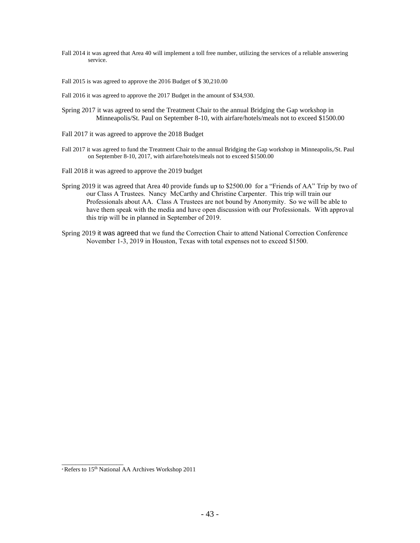Fall 2014 it was agreed that Area 40 will implement a toll free number, utilizing the services of a reliable answering service.

Fall 2015 is was agreed to approve the 2016 Budget of \$ 30,210.00

Fall 2016 it was agreed to approve the 2017 Budget in the amount of \$34,930.

- Spring 2017 it was agreed to send the Treatment Chair to the annual Bridging the Gap workshop in Minneapolis/St. Paul on September 8-10, with airfare/hotels/meals not to exceed \$1500.00
- Fall 2017 it was agreed to approve the 2018 Budget
- Fall 2017 it was agreed to fund the Treatment Chair to the annual Bridging the Gap workshop in Minneapolis,/St. Paul on September 8-10, 2017, with airfare/hotels/meals not to exceed \$1500.00
- Fall 2018 it was agreed to approve the 2019 budget
- Spring 2019 it was agreed that Area 40 provide funds up to \$2500.00 for a "Friends of AA" Trip by two of our Class A Trustees. Nancy McCarthy and Christine Carpenter. This trip will train our Professionals about AA. Class A Trustees are not bound by Anonymity. So we will be able to have them speak with the media and have open discussion with our Professionals. With approval this trip will be in planned in September of 2019.
- Spring 2019 it was agreed that we fund the Correction Chair to attend National Correction Conference November 1-3, 2019 in Houston, Texas with total expenses not to exceed \$1500.

\_\_\_\_\_\_\_\_\_\_\_\_\_\_\_\_\_\_

<sup>4</sup> Refers to 15th National AA Archives Workshop 2011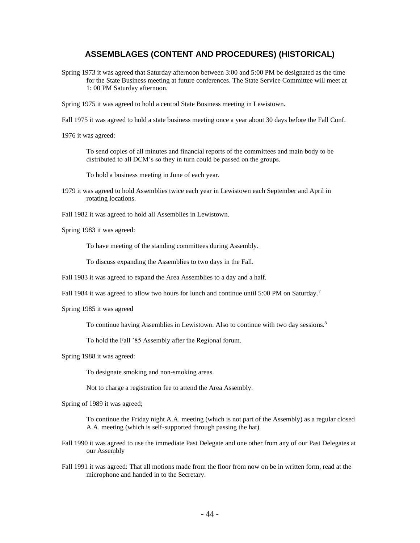## **ASSEMBLAGES (CONTENT AND PROCEDURES) (HISTORICAL)**

Spring 1973 it was agreed that Saturday afternoon between 3:00 and 5:00 PM be designated as the time for the State Business meeting at future conferences. The State Service Committee will meet at 1: 00 PM Saturday afternoon.

Spring 1975 it was agreed to hold a central State Business meeting in Lewistown.

Fall 1975 it was agreed to hold a state business meeting once a year about 30 days before the Fall Conf.

1976 it was agreed:

To send copies of all minutes and financial reports of the committees and main body to be distributed to all DCM's so they in turn could be passed on the groups.

To hold a business meeting in June of each year.

- 1979 it was agreed to hold Assemblies twice each year in Lewistown each September and April in rotating locations.
- Fall 1982 it was agreed to hold all Assemblies in Lewistown.
- Spring 1983 it was agreed:

To have meeting of the standing committees during Assembly.

To discuss expanding the Assemblies to two days in the Fall.

Fall 1983 it was agreed to expand the Area Assemblies to a day and a half.

Fall 1984 it was agreed to allow two hours for lunch and continue until 5:00 PM on Saturday.<sup>7</sup>

Spring 1985 it was agreed

To continue having Assemblies in Lewistown. Also to continue with two day sessions.<sup>8</sup>

To hold the Fall '85 Assembly after the Regional forum.

Spring 1988 it was agreed:

To designate smoking and non-smoking areas.

Not to charge a registration fee to attend the Area Assembly.

Spring of 1989 it was agreed;

To continue the Friday night A.A. meeting (which is not part of the Assembly) as a regular closed A.A. meeting (which is self-supported through passing the hat).

- Fall 1990 it was agreed to use the immediate Past Delegate and one other from any of our Past Delegates at our Assembly
- Fall 1991 it was agreed: That all motions made from the floor from now on be in written form, read at the microphone and handed in to the Secretary.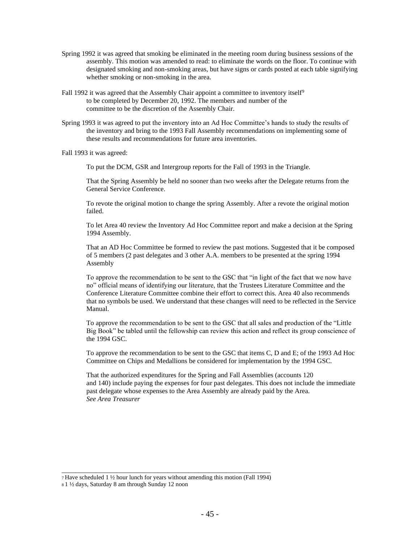- Spring 1992 it was agreed that smoking be eliminated in the meeting room during business sessions of the assembly. This motion was amended to read: to eliminate the words on the floor. To continue with designated smoking and non-smoking areas, but have signs or cards posted at each table signifying whether smoking or non-smoking in the area.
- Fall 1992 it was agreed that the Assembly Chair appoint a committee to inventory itself<sup>9</sup> to be completed by December 20, 1992. The members and number of the committee to be the discretion of the Assembly Chair.
- Spring 1993 it was agreed to put the inventory into an Ad Hoc Committee's hands to study the results of the inventory and bring to the 1993 Fall Assembly recommendations on implementing some of these results and recommendations for future area inventories.
- Fall 1993 it was agreed:

To put the DCM, GSR and Intergroup reports for the Fall of 1993 in the Triangle.

That the Spring Assembly be held no sooner than two weeks after the Delegate returns from the General Service Conference.

To revote the original motion to change the spring Assembly. After a revote the original motion failed.

To let Area 40 review the Inventory Ad Hoc Committee report and make a decision at the Spring 1994 Assembly.

That an AD Hoc Committee be formed to review the past motions. Suggested that it be composed of 5 members (2 past delegates and 3 other A.A. members to be presented at the spring 1994 Assembly

To approve the recommendation to be sent to the GSC that "in light of the fact that we now have no" official means of identifying our literature, that the Trustees Literature Committee and the Conference Literature Committee combine their effort to correct this. Area 40 also recommends that no symbols be used. We understand that these changes will need to be reflected in the Service Manual.

To approve the recommendation to be sent to the GSC that all sales and production of the "Little Big Book" be tabled until the fellowship can review this action and reflect its group conscience of the 1994 GSC.

To approve the recommendation to be sent to the GSC that items C, D and E; of the 1993 Ad Hoc Committee on Chips and Medallions be considered for implementation by the 1994 GSC.

That the authorized expenditures for the Spring and Fall Assemblies (accounts 120 and 140) include paying the expenses for four past delegates. This does not include the immediate past delegate whose expenses to the Area Assembly are already paid by the Area. *See Area Treasurer*

\_\_\_\_\_\_\_\_\_\_\_\_\_\_\_\_\_\_\_\_\_\_\_\_\_\_\_\_\_\_\_\_\_\_\_\_\_\_\_\_\_\_\_\_\_\_\_\_\_\_\_\_\_\_\_\_\_\_\_\_\_ <sup>7</sup>Have scheduled 1 ½ hour lunch for years without amending this motion (Fall 1994)

<sup>8</sup> 1 ½ days, Saturday 8 am through Sunday 12 noon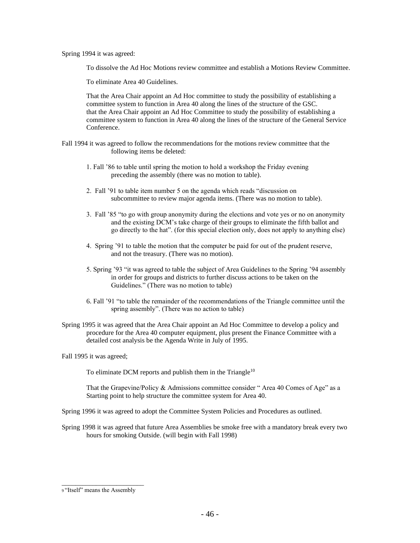Spring 1994 it was agreed:

To dissolve the Ad Hoc Motions review committee and establish a Motions Review Committee.

To eliminate Area 40 Guidelines.

That the Area Chair appoint an Ad Hoc committee to study the possibility of establishing a committee system to function in Area 40 along the lines of the structure of the GSC. that the Area Chair appoint an Ad Hoc Committee to study the possibility of establishing a committee system to function in Area 40 along the lines of the structure of the General Service Conference.

- Fall 1994 it was agreed to follow the recommendations for the motions review committee that the following items be deleted:
	- 1. Fall '86 to table until spring the motion to hold a workshop the Friday evening preceding the assembly (there was no motion to table).
	- 2. Fall '91 to table item number 5 on the agenda which reads "discussion on subcommittee to review major agenda items. (There was no motion to table).
	- 3. Fall '85 "to go with group anonymity during the elections and vote yes or no on anonymity and the existing DCM's take charge of their groups to eliminate the fifth ballot and go directly to the hat". (for this special election only, does not apply to anything else)
	- 4. Spring '91 to table the motion that the computer be paid for out of the prudent reserve, and not the treasury. (There was no motion).
	- 5. Spring '93 "it was agreed to table the subject of Area Guidelines to the Spring '94 assembly in order for groups and districts to further discuss actions to be taken on the Guidelines." (There was no motion to table)
	- 6. Fall '91 "to table the remainder of the recommendations of the Triangle committee until the spring assembly". (There was no action to table)
- Spring 1995 it was agreed that the Area Chair appoint an Ad Hoc Committee to develop a policy and procedure for the Area 40 computer equipment, plus present the Finance Committee with a detailed cost analysis be the Agenda Write in July of 1995.

Fall 1995 it was agreed;

To eliminate DCM reports and publish them in the Triangle<sup>10</sup>

That the Grapevine/Policy & Admissions committee consider " Area 40 Comes of Age" as a Starting point to help structure the committee system for Area 40.

Spring 1996 it was agreed to adopt the Committee System Policies and Procedures as outlined.

Spring 1998 it was agreed that future Area Assemblies be smoke free with a mandatory break every two hours for smoking Outside. (will begin with Fall 1998)

\_\_\_\_\_\_\_\_\_\_\_\_\_\_\_\_\_\_\_\_\_\_\_\_ 9 "Itself" means the Assembly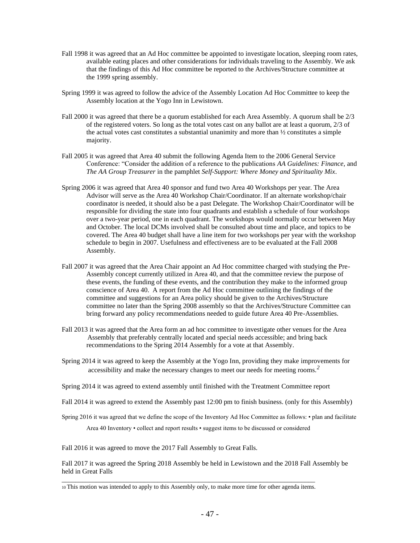- Fall 1998 it was agreed that an Ad Hoc committee be appointed to investigate location, sleeping room rates, available eating places and other considerations for individuals traveling to the Assembly. We ask that the findings of this Ad Hoc committee be reported to the Archives/Structure committee at the 1999 spring assembly.
- Spring 1999 it was agreed to follow the advice of the Assembly Location Ad Hoc Committee to keep the Assembly location at the Yogo Inn in Lewistown.
- Fall 2000 it was agreed that there be a quorum established for each Area Assembly. A quorum shall be  $2/3$ of the registered voters. So long as the total votes cast on any ballot are at least a quorum, 2/3 of the actual votes cast constitutes a substantial unanimity and more than  $\frac{1}{2}$  constitutes a simple majority.
- Fall 2005 it was agreed that Area 40 submit the following Agenda Item to the 2006 General Service Conference: "Consider the addition of a reference to the publications *AA Guidelines: Finance,* and *The AA Group Treasurer* in the pamphlet *Self-Support: Where Money and Spirituality Mix*.
- Spring 2006 it was agreed that Area 40 sponsor and fund two Area 40 Workshops per year. The Area Advisor will serve as the Area 40 Workshop Chair/Coordinator. If an alternate workshop/chair coordinator is needed, it should also be a past Delegate. The Workshop Chair/Coordinator will be responsible for dividing the state into four quadrants and establish a schedule of four workshops over a two-year period, one in each quadrant. The workshops would normally occur between May and October. The local DCMs involved shall be consulted about time and place, and topics to be covered. The Area 40 budget shall have a line item for two workshops per year with the workshop schedule to begin in 2007. Usefulness and effectiveness are to be evaluated at the Fall 2008 Assembly.
- Fall 2007 it was agreed that the Area Chair appoint an Ad Hoc committee charged with studying the Pre-Assembly concept currently utilized in Area 40, and that the committee review the purpose of these events, the funding of these events, and the contribution they make to the informed group conscience of Area 40. A report from the Ad Hoc committee outlining the findings of the committee and suggestions for an Area policy should be given to the Archives/Structure committee no later than the Spring 2008 assembly so that the Archives/Structure Committee can bring forward any policy recommendations needed to guide future Area 40 Pre-Assemblies.
- Fall 2013 it was agreed that the Area form an ad hoc committee to investigate other venues for the Area Assembly that preferably centrally located and special needs accessible; and bring back recommendations to the Spring 2014 Assembly for a vote at that Assembly.
- Spring 2014 it was agreed to keep the Assembly at the Yogo Inn, providing they make improvements for accessibility and make the necessary changes to meet our needs for meeting rooms.*<sup>2</sup>*
- Spring 2014 it was agreed to extend assembly until finished with the Treatment Committee report
- Fall 2014 it was agreed to extend the Assembly past 12:00 pm to finish business. (only for this Assembly)
- Spring 2016 it was agreed that we define the scope of the Inventory Ad Hoc Committee as follows: plan and facilitate Area 40 Inventory • collect and report results • suggest items to be discussed or considered

Fall 2016 it was agreed to move the 2017 Fall Assembly to Great Falls.

Fall 2017 it was agreed the Spring 2018 Assembly be held in Lewistown and the 2018 Fall Assembly be held in Great Falls

\_\_\_\_\_\_\_\_\_\_\_\_\_\_\_\_\_\_\_\_\_\_\_\_\_\_\_\_\_\_\_\_\_\_\_\_\_\_\_\_\_\_\_\_\_\_\_\_\_\_\_\_\_\_\_\_\_\_\_\_\_\_\_\_\_\_\_\_\_\_\_\_\_\_ 10 This motion was intended to apply to this Assembly only, to make more time for other agenda items.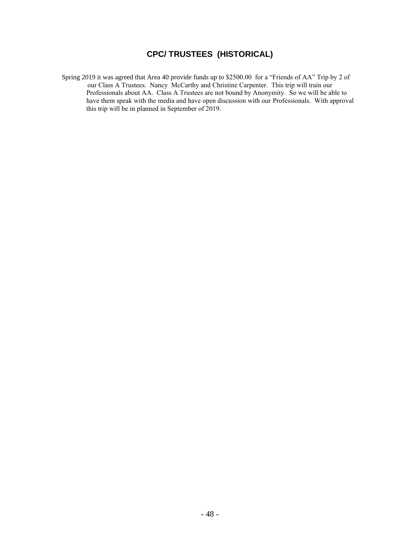## **CPC/ TRUSTEES (HISTORICAL)**

Spring 2019 it was agreed that Area 40 provide funds up to \$2500.00 for a "Friends of AA" Trip by 2 of our Class A Trustees. Nancy McCarthy and Christine Carpenter. This trip will train our Professionals about AA. Class A Trustees are not bound by Anonymity. So we will be able to have them speak with the media and have open discussion with our Professionals. With approval this trip will be in planned in September of 2019.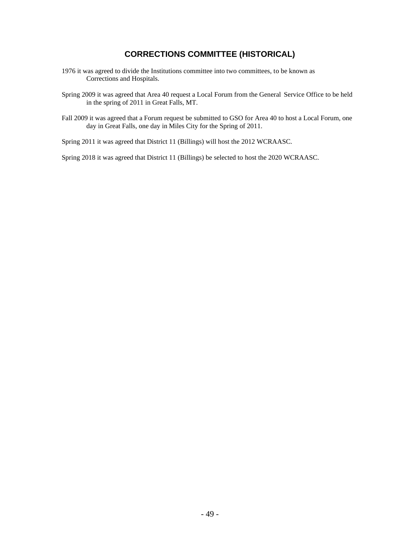## **CORRECTIONS COMMITTEE (HISTORICAL)**

- 1976 it was agreed to divide the Institutions committee into two committees, to be known as Corrections and Hospitals.
- Spring 2009 it was agreed that Area 40 request a Local Forum from the General Service Office to be held in the spring of 2011 in Great Falls, MT.
- Fall 2009 it was agreed that a Forum request be submitted to GSO for Area 40 to host a Local Forum, one day in Great Falls, one day in Miles City for the Spring of 2011.

Spring 2011 it was agreed that District 11 (Billings) will host the 2012 WCRAASC.

Spring 2018 it was agreed that District 11 (Billings) be selected to host the 2020 WCRAASC.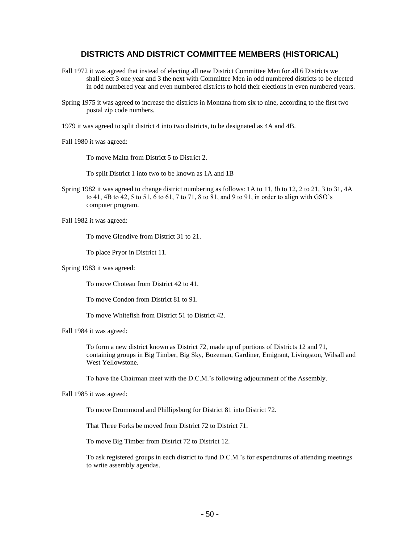## **DISTRICTS AND DISTRICT COMMITTEE MEMBERS (HISTORICAL)**

- Fall 1972 it was agreed that instead of electing all new District Committee Men for all 6 Districts we shall elect 3 one year and 3 the next with Committee Men in odd numbered districts to be elected in odd numbered year and even numbered districts to hold their elections in even numbered years.
- Spring 1975 it was agreed to increase the districts in Montana from six to nine, according to the first two postal zip code numbers.
- 1979 it was agreed to split district 4 into two districts, to be designated as 4A and 4B.

Fall 1980 it was agreed:

To move Malta from District 5 to District 2.

To split District 1 into two to be known as 1A and 1B

Spring 1982 it was agreed to change district numbering as follows: 1A to 11, !b to 12, 2 to 21, 3 to 31, 4A to 41, 4B to 42, 5 to 51, 6 to 61, 7 to 71, 8 to 81, and 9 to 91, in order to align with GSO's computer program.

Fall 1982 it was agreed:

To move Glendive from District 31 to 21.

To place Pryor in District 11.

Spring 1983 it was agreed:

To move Choteau from District 42 to 41.

To move Condon from District 81 to 91.

To move Whitefish from District 51 to District 42.

Fall 1984 it was agreed:

To form a new district known as District 72, made up of portions of Districts 12 and 71, containing groups in Big Timber, Big Sky, Bozeman, Gardiner, Emigrant, Livingston, Wilsall and West Yellowstone.

To have the Chairman meet with the D.C.M.'s following adjournment of the Assembly.

Fall 1985 it was agreed:

To move Drummond and Phillipsburg for District 81 into District 72.

That Three Forks be moved from District 72 to District 71.

To move Big Timber from District 72 to District 12.

To ask registered groups in each district to fund D.C.M.'s for expenditures of attending meetings to write assembly agendas.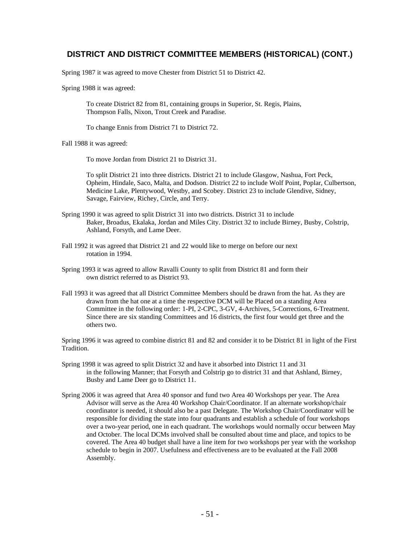## **DISTRICT AND DISTRICT COMMITTEE MEMBERS (HISTORICAL) (CONT.)**

Spring 1987 it was agreed to move Chester from District 51 to District 42.

Spring 1988 it was agreed:

To create District 82 from 81, containing groups in Superior, St. Regis, Plains, Thompson Falls, Nixon, Trout Creek and Paradise.

To change Ennis from District 71 to District 72.

Fall 1988 it was agreed:

To move Jordan from District 21 to District 31.

To split District 21 into three districts. District 21 to include Glasgow, Nashua, Fort Peck, Opheim, Hindale, Saco, Malta, and Dodson. District 22 to include Wolf Point, Poplar, Culbertson, Medicine Lake, Plentywood, Westby, and Scobey. District 23 to include Glendive, Sidney, Savage, Fairview, Richey, Circle, and Terry.

- Spring 1990 it was agreed to split District 31 into two districts. District 31 to include Baker, Broadus, Ekalaka, Jordan and Miles City. District 32 to include Birney, Busby, Colstrip, Ashland, Forsyth, and Lame Deer.
- Fall 1992 it was agreed that District 21 and 22 would like to merge on before our next rotation in 1994.
- Spring 1993 it was agreed to allow Ravalli County to split from District 81 and form their own district referred to as District 93.
- Fall 1993 it was agreed that all District Committee Members should be drawn from the hat. As they are drawn from the hat one at a time the respective DCM will be Placed on a standing Area Committee in the following order: 1-PI, 2-CPC, 3-GV, 4-Archives, 5-Corrections, 6-Treatment. Since there are six standing Committees and 16 districts, the first four would get three and the others two.

Spring 1996 it was agreed to combine district 81 and 82 and consider it to be District 81 in light of the First Tradition.

- Spring 1998 it was agreed to split District 32 and have it absorbed into District 11 and 31 in the following Manner; that Forsyth and Colstrip go to district 31 and that Ashland, Birney, Busby and Lame Deer go to District 11.
- Spring 2006 it was agreed that Area 40 sponsor and fund two Area 40 Workshops per year. The Area Advisor will serve as the Area 40 Workshop Chair/Coordinator. If an alternate workshop/chair coordinator is needed, it should also be a past Delegate. The Workshop Chair/Coordinator will be responsible for dividing the state into four quadrants and establish a schedule of four workshops over a two-year period, one in each quadrant. The workshops would normally occur between May and October. The local DCMs involved shall be consulted about time and place, and topics to be covered. The Area 40 budget shall have a line item for two workshops per year with the workshop schedule to begin in 2007. Usefulness and effectiveness are to be evaluated at the Fall 2008 Assembly.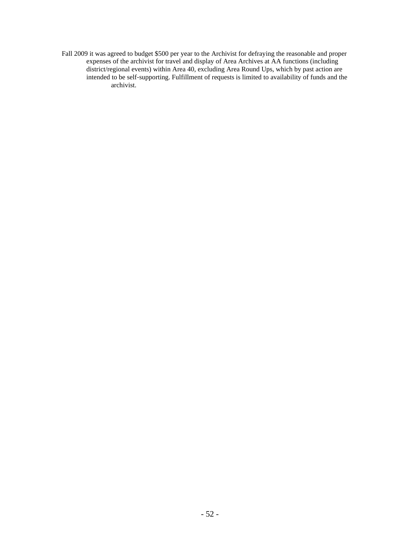Fall 2009 it was agreed to budget \$500 per year to the Archivist for defraying the reasonable and proper expenses of the archivist for travel and display of Area Archives at AA functions (including district/regional events) within Area 40, excluding Area Round Ups, which by past action are intended to be self‐supporting. Fulfillment of requests is limited to availability of funds and the archivist.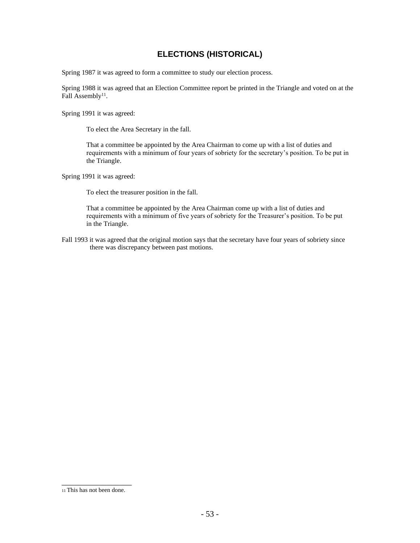## **ELECTIONS (HISTORICAL)**

Spring 1987 it was agreed to form a committee to study our election process.

Spring 1988 it was agreed that an Election Committee report be printed in the Triangle and voted on at the Fall Assembly<sup>11</sup>.

Spring 1991 it was agreed:

To elect the Area Secretary in the fall.

That a committee be appointed by the Area Chairman to come up with a list of duties and requirements with a minimum of four years of sobriety for the secretary's position. To be put in the Triangle.

Spring 1991 it was agreed:

To elect the treasurer position in the fall.

That a committee be appointed by the Area Chairman come up with a list of duties and requirements with a minimum of five years of sobriety for the Treasurer's position. To be put in the Triangle.

Fall 1993 it was agreed that the original motion says that the secretary have four years of sobriety since there was discrepancy between past motions.

\_\_\_\_\_\_\_\_\_\_\_\_\_\_\_\_\_ 11 This has not been done.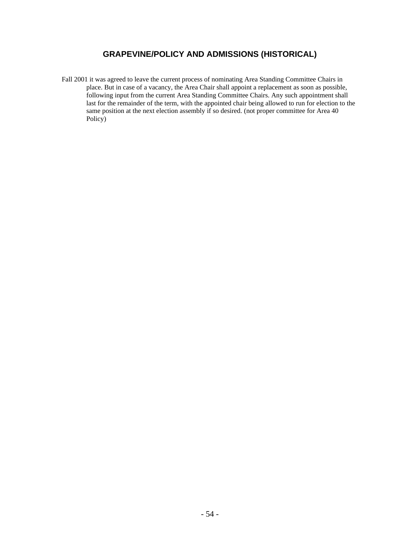## **GRAPEVINE/POLICY AND ADMISSIONS (HISTORICAL)**

Fall 2001 it was agreed to leave the current process of nominating Area Standing Committee Chairs in place. But in case of a vacancy, the Area Chair shall appoint a replacement as soon as possible, following input from the current Area Standing Committee Chairs. Any such appointment shall last for the remainder of the term, with the appointed chair being allowed to run for election to the same position at the next election assembly if so desired. (not proper committee for Area 40 Policy)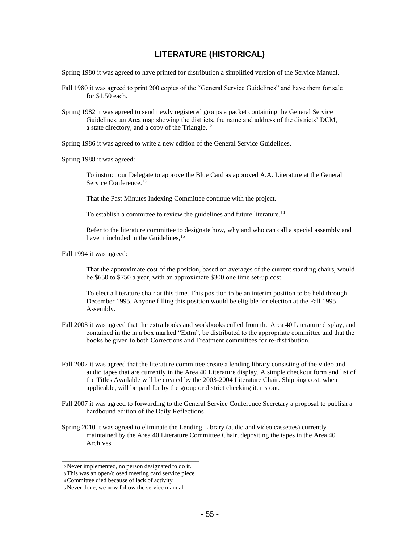## **LITERATURE (HISTORICAL)**

Spring 1980 it was agreed to have printed for distribution a simplified version of the Service Manual.

- Fall 1980 it was agreed to print 200 copies of the "General Service Guidelines" and have them for sale for \$1.50 each.
- Spring 1982 it was agreed to send newly registered groups a packet containing the General Service Guidelines, an Area map showing the districts, the name and address of the districts' DCM, a state directory, and a copy of the Triangle.<sup>12</sup>
- Spring 1986 it was agreed to write a new edition of the General Service Guidelines.
- Spring 1988 it was agreed:

To instruct our Delegate to approve the Blue Card as approved A.A. Literature at the General Service Conference.<sup>13</sup>

That the Past Minutes Indexing Committee continue with the project.

To establish a committee to review the guidelines and future literature.<sup>14</sup>

Refer to the literature committee to designate how, why and who can call a special assembly and have it included in the Guidelines, <sup>15</sup>

Fall 1994 it was agreed:

That the approximate cost of the position, based on averages of the current standing chairs, would be \$650 to \$750 a year, with an approximate \$300 one time set-up cost.

To elect a literature chair at this time. This position to be an interim position to be held through December 1995. Anyone filling this position would be eligible for election at the Fall 1995 Assembly.

- Fall 2003 it was agreed that the extra books and workbooks culled from the Area 40 Literature display, and contained in the in a box marked "Extra", be distributed to the appropriate committee and that the books be given to both Corrections and Treatment committees for re-distribution.
- Fall 2002 it was agreed that the literature committee create a lending library consisting of the video and audio tapes that are currently in the Area 40 Literature display. A simple checkout form and list of the Titles Available will be created by the 2003-2004 Literature Chair. Shipping cost, when applicable, will be paid for by the group or district checking items out.
- Fall 2007 it was agreed to forwarding to the General Service Conference Secretary a proposal to publish a hardbound edition of the Daily Reflections.
- Spring 2010 it was agreed to eliminate the Lending Library (audio and video cassettes) currently maintained by the Area 40 Literature Committee Chair, depositing the tapes in the Area 40 Archives.

\_\_\_\_\_\_\_\_\_\_\_\_\_\_\_\_\_\_\_\_\_\_\_\_\_\_\_\_\_\_\_\_\_\_\_\_\_\_\_\_ <sup>12</sup>Never implemented, no person designated to do it.

<sup>13</sup>This was an open/closed meeting card service piece

<sup>14</sup>Committee died because of lack of activity

<sup>15</sup> Never done, we now follow the service manual.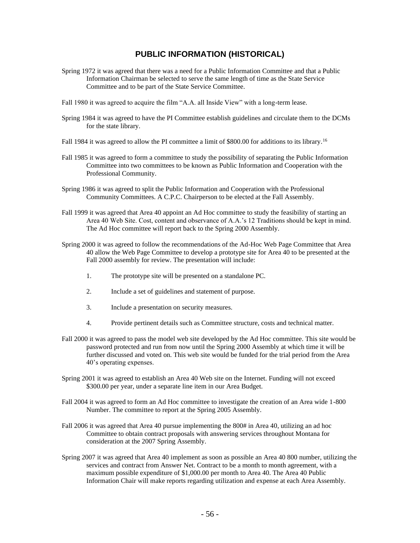## **PUBLIC INFORMATION (HISTORICAL)**

- Spring 1972 it was agreed that there was a need for a Public Information Committee and that a Public Information Chairman be selected to serve the same length of time as the State Service Committee and to be part of the State Service Committee.
- Fall 1980 it was agreed to acquire the film "A.A. all Inside View" with a long-term lease.
- Spring 1984 it was agreed to have the PI Committee establish guidelines and circulate them to the DCMs for the state library.
- Fall 1984 it was agreed to allow the PI committee a limit of \$800.00 for additions to its library.<sup>16</sup>
- Fall 1985 it was agreed to form a committee to study the possibility of separating the Public Information Committee into two committees to be known as Public Information and Cooperation with the Professional Community.
- Spring 1986 it was agreed to split the Public Information and Cooperation with the Professional Community Committees. A C.P.C. Chairperson to be elected at the Fall Assembly.
- Fall 1999 it was agreed that Area 40 appoint an Ad Hoc committee to study the feasibility of starting an Area 40 Web Site. Cost, content and observance of A.A.'s 12 Traditions should be kept in mind. The Ad Hoc committee will report back to the Spring 2000 Assembly.
- Spring 2000 it was agreed to follow the recommendations of the Ad-Hoc Web Page Committee that Area 40 allow the Web Page Committee to develop a prototype site for Area 40 to be presented at the Fall 2000 assembly for review. The presentation will include:
	- 1. The prototype site will be presented on a standalone PC.
	- 2. Include a set of guidelines and statement of purpose.
	- 3. Include a presentation on security measures.
	- 4. Provide pertinent details such as Committee structure, costs and technical matter.
- Fall 2000 it was agreed to pass the model web site developed by the Ad Hoc committee. This site would be password protected and run from now until the Spring 2000 Assembly at which time it will be further discussed and voted on. This web site would be funded for the trial period from the Area 40's operating expenses.
- Spring 2001 it was agreed to establish an Area 40 Web site on the Internet. Funding will not exceed \$300.00 per year, under a separate line item in our Area Budget.
- Fall 2004 it was agreed to form an Ad Hoc committee to investigate the creation of an Area wide 1-800 Number. The committee to report at the Spring 2005 Assembly.
- Fall 2006 it was agreed that Area 40 pursue implementing the 800# in Area 40, utilizing an ad hoc Committee to obtain contract proposals with answering services throughout Montana for consideration at the 2007 Spring Assembly.
- Spring 2007 it was agreed that Area 40 implement as soon as possible an Area 40 800 number, utilizing the services and contract from Answer Net. Contract to be a month to month agreement, with a maximum possible expenditure of \$1,000.00 per month to Area 40. The Area 40 Public Information Chair will make reports regarding utilization and expense at each Area Assembly.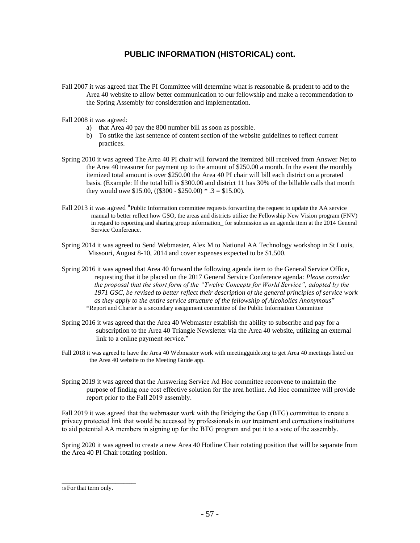## **PUBLIC INFORMATION (HISTORICAL) cont.**

- Fall 2007 it was agreed that The PI Committee will determine what is reasonable & prudent to add to the Area 40 website to allow better communication to our fellowship and make a recommendation to the Spring Assembly for consideration and implementation.
- Fall 2008 it was agreed:
	- a) that Area 40 pay the 800 number bill as soon as possible.
	- b) To strike the last sentence of content section of the website guidelines to reflect current practices.
- Spring 2010 it was agreed The Area 40 PI chair will forward the itemized bill received from Answer Net to the Area 40 treasurer for payment up to the amount of \$250.00 a month. In the event the monthly itemized total amount is over \$250.00 the Area 40 PI chair will bill each district on a prorated basis. (Example: If the total bill is \$300.00 and district 11 has 30% of the billable calls that month they would owe \$15.00,  $((\$300 - \$250.00) * .3 = \$15.00)$ .
- Fall 2013 it was agreed "Public Information committee requests forwarding the request to update the AA service manual to better reflect how GSO, the areas and districts utilize the Fellowship New Vision program (FNV) in regard to reporting and sharing group information\_ for submission as an agenda item at the 2014 General Service Conference.
- Spring 2014 it was agreed to Send Webmaster, Alex M to National AA Technology workshop in St Louis, Missouri, August 8-10, 2014 and cover expenses expected to be \$1,500.
- Spring 2016 it was agreed that Area 40 forward the following agenda item to the General Service Office, requesting that it be placed on the 2017 General Service Conference agenda: *Please consider the proposal that the short form of the "Twelve Concepts for World Service", adopted by the 1971 GSC, be revised to better reflect their description of the general principles of service work as they apply to the entire service structure of the fellowship of Alcoholics Anonymous*" \*Report and Charter is a secondary assignment committee of the Public Information Committee
- Spring 2016 it was agreed that the Area 40 Webmaster establish the ability to subscribe and pay for a subscription to the Area 40 Triangle Newsletter via the Area 40 website, utilizing an external link to a online payment service."
- Fall 2018 it was agreed to have the Area 40 Webmaster work with meetingguide.org to get Area 40 meetings listed on the Area 40 website to the Meeting Guide app.
- Spring 2019 it was agreed that the Answering Service Ad Hoc committee reconvene to maintain the purpose of finding one cost effective solution for the area hotline. Ad Hoc committee will provide report prior to the Fall 2019 assembly.

Fall 2019 it was agreed that the webmaster work with the Bridging the Gap (BTG) committee to create a privacy protected link that would be accessed by professionals in our treatment and corrections institutions to aid potential AA members in signing up for the BTG program and put it to a vote of the assembly.

Spring 2020 it was agreed to create a new Area 40 Hotline Chair rotating position that will be separate from the Area 40 PI Chair rotating position.

\_\_\_\_\_\_\_\_\_\_\_\_\_\_\_\_\_\_\_\_\_\_\_\_\_\_\_\_\_\_\_\_\_\_\_\_

<sup>16</sup> For that term only.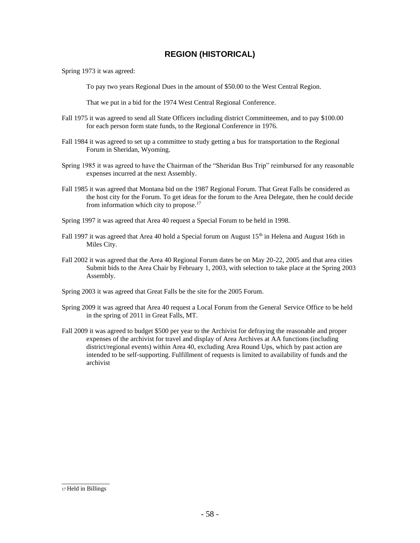## **REGION (HISTORICAL)**

Spring 1973 it was agreed:

To pay two years Regional Dues in the amount of \$50.00 to the West Central Region.

That we put in a bid for the 1974 West Central Regional Conference.

- Fall 1975 it was agreed to send all State Officers including district Committeemen, and to pay \$100.00 for each person form state funds, to the Regional Conference in 1976.
- Fall 1984 it was agreed to set up a committee to study getting a bus for transportation to the Regional Forum in Sheridan, Wyoming.
- Spring 1985 it was agreed to have the Chairman of the "Sheridan Bus Trip" reimbursed for any reasonable expenses incurred at the next Assembly.
- Fall 1985 it was agreed that Montana bid on the 1987 Regional Forum. That Great Falls be considered as the host city for the Forum. To get ideas for the forum to the Area Delegate, then he could decide from information which city to propose.<sup>17</sup>
- Spring 1997 it was agreed that Area 40 request a Special Forum to be held in 1998.
- Fall 1997 it was agreed that Area 40 hold a Special forum on August 15<sup>th</sup> in Helena and August 16th in Miles City.
- Fall 2002 it was agreed that the Area 40 Regional Forum dates be on May 20-22, 2005 and that area cities Submit bids to the Area Chair by February 1, 2003, with selection to take place at the Spring 2003 Assembly.
- Spring 2003 it was agreed that Great Falls be the site for the 2005 Forum.
- Spring 2009 it was agreed that Area 40 request a Local Forum from the General Service Office to be held in the spring of 2011 in Great Falls, MT.
- Fall 2009 it was agreed to budget \$500 per year to the Archivist for defraying the reasonable and proper expenses of the archivist for travel and display of Area Archives at AA functions (including district/regional events) within Area 40, excluding Area Round Ups, which by past action are intended to be self‐supporting. Fulfillment of requests is limited to availability of funds and the archivist

\_\_\_\_\_\_\_\_\_\_\_\_\_\_ 17 Held in Billings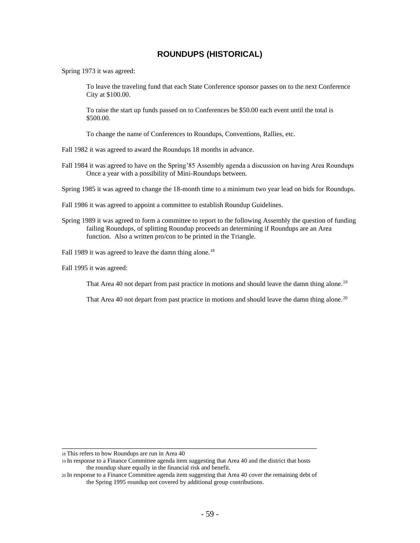## **ROUNDUPS (HISTORICAL)**

Spring 1973 it was agreed:

To leave the traveling fund that each State Conference sponsor passes on to the next Conference City at \$100.00.

To raise the start up funds passed on to Conferences be \$50.00 each event until the total is \$500.00.

To change the name of Conferences to Roundups, Conventions, Rallies, etc.

Fall 1982 it was agreed to award the Roundups 18 months in advance.

Fall 1984 it was agreed to have on the Spring'85 Assembly agenda a discussion on having Area Roundups Once a year with a possibility of Mini-Roundups between.

Spring 1985 it was agreed to change the 18-month time to a minimum two year lead on bids for Roundups.

Fall 1986 it was agreed to appoint a committee to establish Roundup Guidelines.

Spring 1989 it was agreed to form a committee to report to the following Assembly the question of funding failing Roundups, of splitting Roundup proceeds an determining if Roundups are an Area function. Also a written pro/con to be printed in the Triangle.

Fall 1989 it was agreed to leave the damn thing alone.<sup>18</sup>

Fall 1995 it was agreed:

That Area 40 not depart from past practice in motions and should leave the damn thing alone.<sup>19</sup>

That Area 40 not depart from past practice in motions and should leave the damn thing alone.<sup>20</sup>

<sup>18</sup>This refers to how Roundups are run in Area 40

<sup>19</sup>In response to a Finance Committee agenda item suggesting that Area 40 and the district that hosts the roundup share equally in the financial risk and benefit.

\_\_\_\_\_\_\_\_\_\_\_\_\_\_\_\_\_\_\_\_\_\_\_\_\_\_\_\_\_\_\_\_\_\_\_\_\_\_\_\_\_\_\_\_\_\_\_\_\_\_\_\_\_\_\_\_\_\_\_\_\_\_

<sup>20</sup>In response to a Finance Committee agenda item suggesting that Area 40 cover the remaining debt of the Spring 1995 roundup not covered by additional group contributions.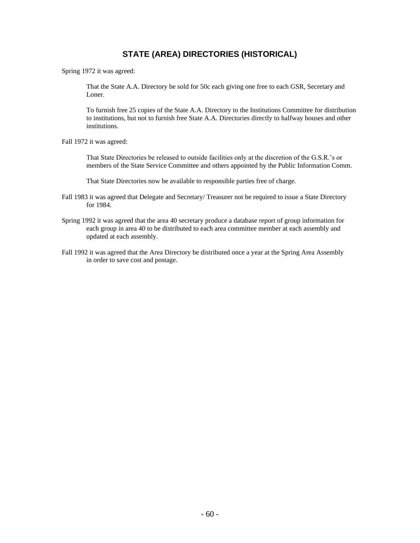## **STATE (AREA) DIRECTORIES (HISTORICAL)**

Spring 1972 it was agreed:

That the State A.A. Directory be sold for 50c each giving one free to each GSR, Secretary and Loner.

To furnish free 25 copies of the State A.A. Directory to the Institutions Committee for distribution to institutions, but not to furnish free State A.A. Directories directly to halfway houses and other institutions.

Fall 1972 it was agreed:

That State Directories be released to outside facilities only at the discretion of the G.S.R.'s or members of the State Service Committee and others appointed by the Public Information Comm.

That State Directories now be available to responsible parties free of charge.

- Fall 1983 it was agreed that Delegate and Secretary/ Treasurer not be required to issue a State Directory for 1984.
- Spring 1992 it was agreed that the area 40 secretary produce a database report of group information for each group in area 40 to be distributed to each area committee member at each assembly and updated at each assembly.
- Fall 1992 it was agreed that the Area Directory be distributed once a year at the Spring Area Assembly in order to save cost and postage.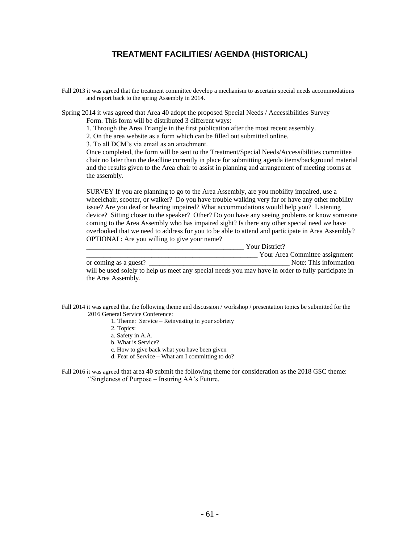## **TREATMENT FACILITIES/ AGENDA (HISTORICAL)**

Fall 2013 it was agreed that the treatment committee develop a mechanism to ascertain special needs accommodations and report back to the spring Assembly in 2014.

Spring 2014 it was agreed that Area 40 adopt the proposed Special Needs / Accessibilities Survey Form. This form will be distributed 3 different ways:

1. Through the Area Triangle in the first publication after the most recent assembly.

2. On the area website as a form which can be filled out submitted online.

3. To all DCM's via email as an attachment.

Once completed, the form will be sent to the Treatment/Special Needs/Accessibilities committee chair no later than the deadline currently in place for submitting agenda items/background material and the results given to the Area chair to assist in planning and arrangement of meeting rooms at the assembly.

SURVEY If you are planning to go to the Area Assembly, are you mobility impaired, use a wheelchair, scooter, or walker? Do you have trouble walking very far or have any other mobility issue? Are you deaf or hearing impaired? What accommodations would help you? Listening device? Sitting closer to the speaker? Other? Do you have any seeing problems or know someone coming to the Area Assembly who has impaired sight? Is there any other special need we have overlooked that we need to address for you to be able to attend and participate in Area Assembly? OPTIONAL: Are you willing to give your name?

|                                                                                                     | Your District?                 |  |
|-----------------------------------------------------------------------------------------------------|--------------------------------|--|
|                                                                                                     | Your Area Committee assignment |  |
| or coming as a guest?                                                                               | Note: This information         |  |
| will be used solely to help us meet any special needs you may have in order to fully participate in |                                |  |
| the Area Assembly.                                                                                  |                                |  |

Fall 2014 it was agreed that the following theme and discussion / workshop / presentation topics be submitted for the 2016 General Service Conference:

1. Theme: Service – Reinvesting in your sobriety

- 2. Topics:
- a. Safety in A.A.
- b. What is Service?
- c. How to give back what you have been given
- d. Fear of Service What am I committing to do?

Fall 2016 it was agreed that area 40 submit the following theme for consideration as the 2018 GSC theme: "Singleness of Purpose – Insuring AA's Future.